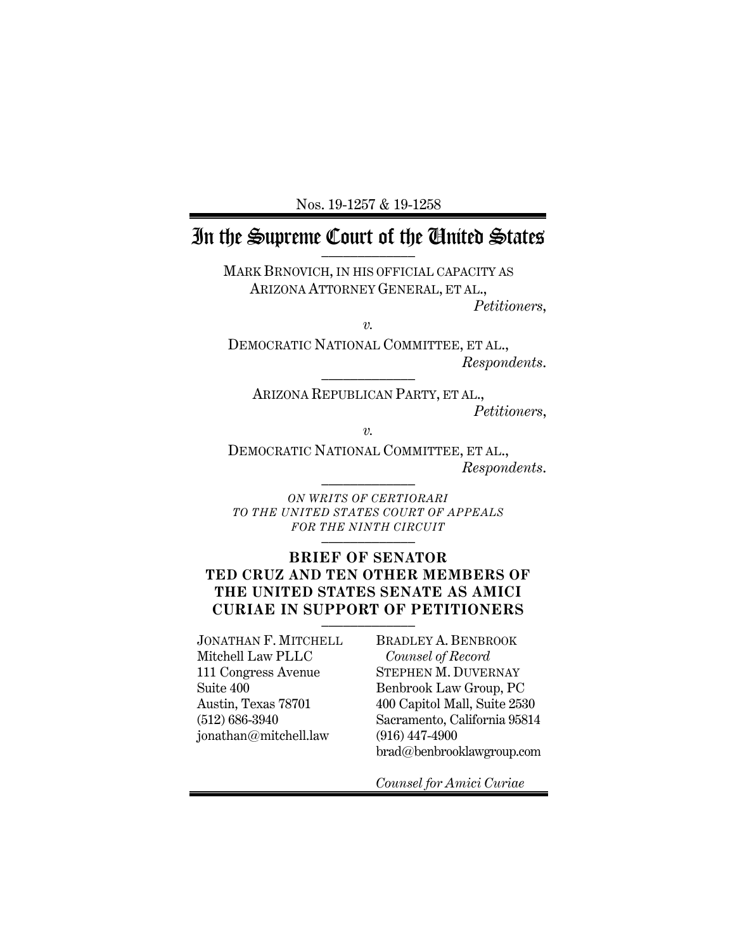Nos. 19-1257 & 19-1258

# In the Supreme Court of the Chuited States

MARK BRNOVICH, IN HIS OFFICIAL CAPACITY AS ARIZONA ATTORNEY GENERAL, ET AL., *Petitioners*,

*v.*

DEMOCRATIC NATIONAL COMMITTEE, ET AL., *Respondents*. \_\_\_\_\_\_\_\_\_\_\_\_\_

ARIZONA REPUBLICAN PARTY, ET AL., *Petitioners*,

*v.*

DEMOCRATIC NATIONAL COMMITTEE, ET AL.,  $Response$ *Respondents.* 

*ON WRITS OF CERTIORARI TO THE UNITED STATES COURT OF APPEALS FOR THE NINTH CIRCUIT* \_\_\_\_\_\_\_\_\_\_\_\_\_

### **BRIEF OF SENATOR TED CRUZ AND TEN OTHER MEMBERS OF THE UNITED STATES SENATE AS AMICI CURIAE IN SUPPORT OF PETITIONERS** \_\_\_\_\_\_\_\_\_\_\_\_\_

JONATHAN F. MITCHELL Mitchell Law PLLC 111 Congress Avenue Suite 400 Austin, Texas 78701 (512) 686-3940 jonathan@mitchell.law

BRADLEY A. BENBROOK *Counsel of Record* STEPHEN M. DUVERNAY Benbrook Law Group, PC 400 Capitol Mall, Suite 2530 Sacramento, California 95814 (916) 447-4900 brad@benbrooklawgroup.com

*Counsel for Amici Curiae*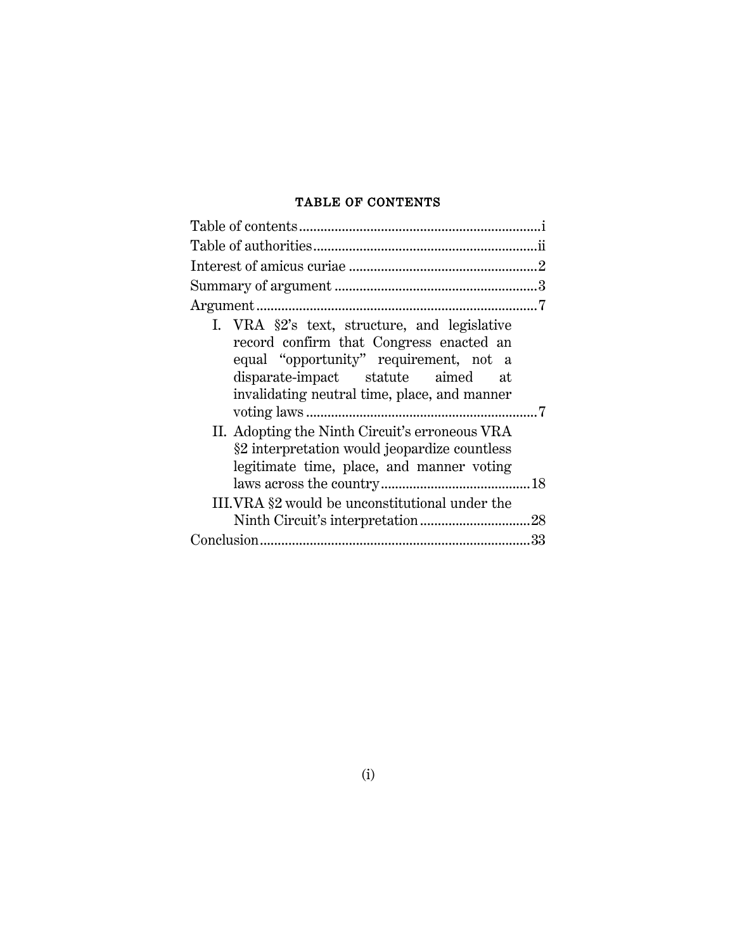## TABLE OF CONTENTS

| I. VRA §2's text, structure, and legislative<br>record confirm that Congress enacted an<br>equal "opportunity" requirement, not a<br>disparate-impact statute aimed at<br>invalidating neutral time, place, and manner |  |
|------------------------------------------------------------------------------------------------------------------------------------------------------------------------------------------------------------------------|--|
| II. Adopting the Ninth Circuit's erroneous VRA<br>§2 interpretation would jeopardize countless<br>legitimate time, place, and manner voting                                                                            |  |
|                                                                                                                                                                                                                        |  |
| III.VRA §2 would be unconstitutional under the                                                                                                                                                                         |  |
|                                                                                                                                                                                                                        |  |
|                                                                                                                                                                                                                        |  |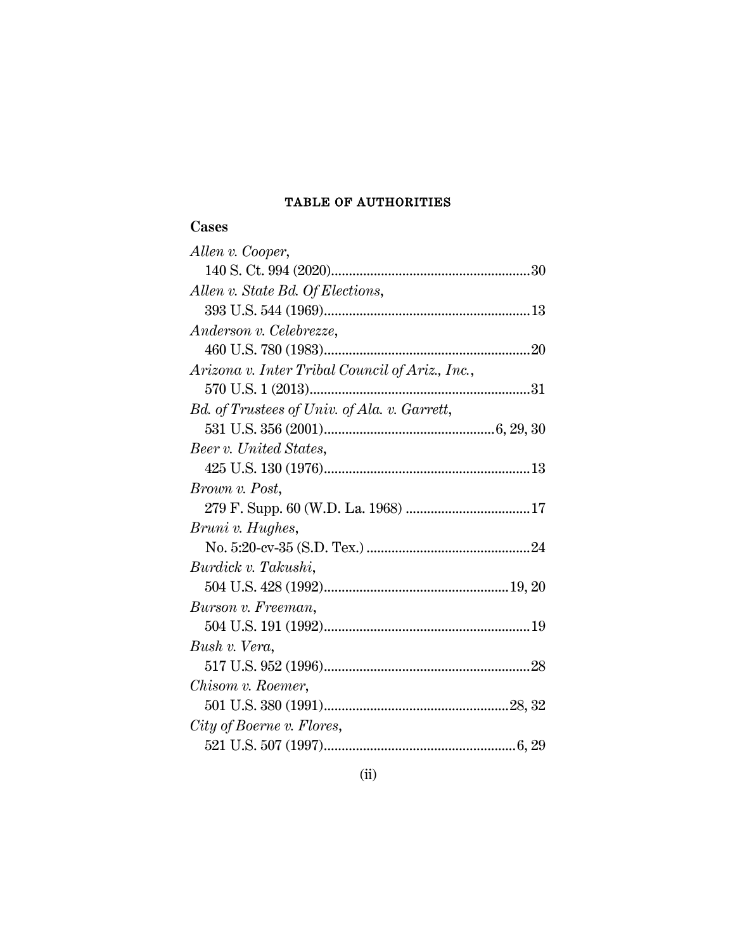## TABLE OF AUTHORITIES

## **Cases**

| Allen v. Cooper,                                |  |
|-------------------------------------------------|--|
|                                                 |  |
| Allen v. State Bd. Of Elections,                |  |
|                                                 |  |
| Anderson v. Celebrezze,                         |  |
|                                                 |  |
| Arizona v. Inter Tribal Council of Ariz., Inc., |  |
|                                                 |  |
| Bd. of Trustees of Univ. of Ala. v. Garrett,    |  |
|                                                 |  |
| Beer v. United States,                          |  |
|                                                 |  |
| <i>Brown v. Post,</i>                           |  |
|                                                 |  |
| Bruni v. Hughes,                                |  |
|                                                 |  |
| Burdick v. Takushi,                             |  |
|                                                 |  |
| Burson v. Freeman,                              |  |
|                                                 |  |
| Bush v. Vera,                                   |  |
|                                                 |  |
| Chisom v. Roemer,                               |  |
|                                                 |  |
| City of Boerne v. Flores,                       |  |
|                                                 |  |
|                                                 |  |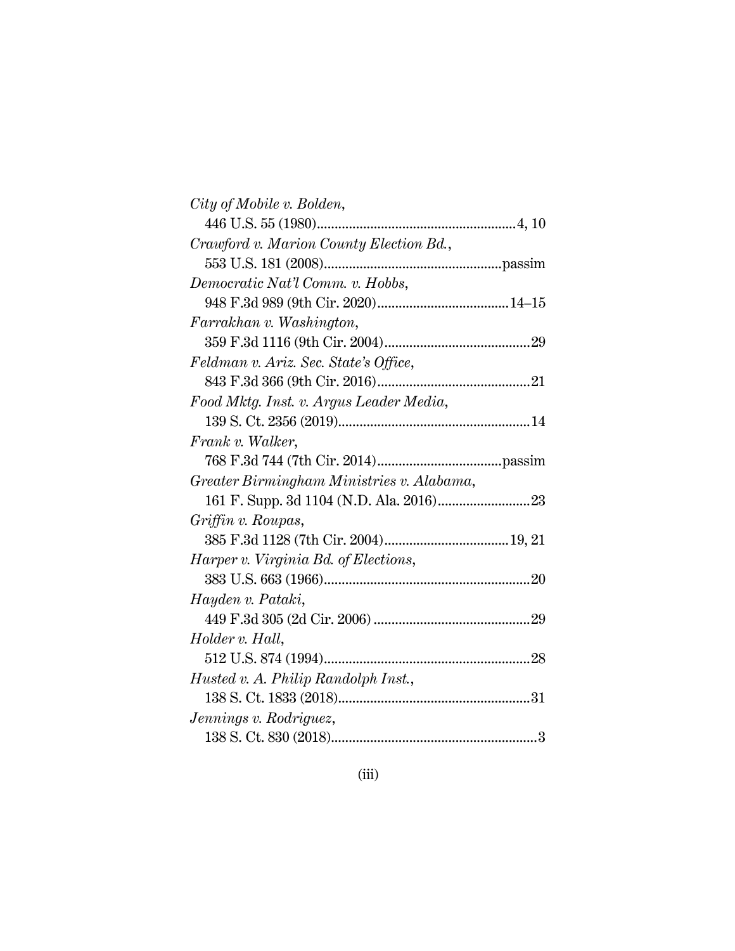| City of Mobile v. Bolden,                   |  |
|---------------------------------------------|--|
|                                             |  |
| Crawford v. Marion County Election Bd.,     |  |
|                                             |  |
| Democratic Nat'l Comm. v. Hobbs,            |  |
|                                             |  |
| Farrakhan v. Washington,                    |  |
|                                             |  |
| Feldman v. Ariz. Sec. State's Office,       |  |
|                                             |  |
| Food Mktg. Inst. v. Argus Leader Media,     |  |
|                                             |  |
| Frank v. Walker,                            |  |
|                                             |  |
| Greater Birmingham Ministries v. Alabama,   |  |
|                                             |  |
| Griffin v. Roupas,                          |  |
|                                             |  |
| <i>Harper v. Virginia Bd. of Elections,</i> |  |
|                                             |  |
| Hayden v. Pataki,                           |  |
|                                             |  |
| Holder v. Hall,                             |  |
|                                             |  |
| Husted v. A. Philip Randolph Inst.,         |  |
|                                             |  |
| Jennings v. Rodriguez,                      |  |
|                                             |  |
|                                             |  |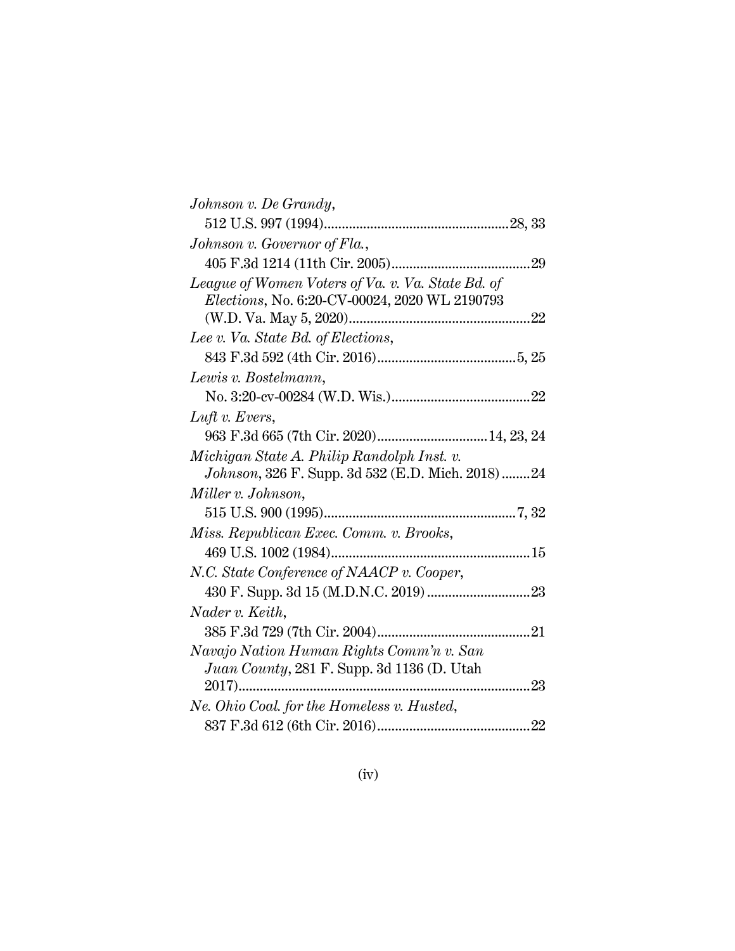| Johnson v. Governor of Fla.,<br>League of Women Voters of Va. v. Va. State Bd. of<br>Elections, No. 6:20-CV-00024, 2020 WL 2190793<br>Lee v. Va. State Bd. of Elections,<br>Lewis v. Bostelmann,<br>$Luft$ v. Evers,<br>Michigan State A. Philip Randolph Inst. v.<br>Johnson, 326 F. Supp. 3d 532 (E.D. Mich. 2018)24<br>Miller v. Johnson,<br>Miss. Republican Exec. Comm. v. Brooks,<br>N.C. State Conference of NAACP v. Cooper,<br>Nader v. Keith,<br>Navajo Nation Human Rights Comm'n v. San<br>Juan County, 281 F. Supp. 3d 1136 (D. Utah<br>Ne. Ohio Coal. for the Homeless v. Husted, | Johnson v. De Grandy, |    |
|-------------------------------------------------------------------------------------------------------------------------------------------------------------------------------------------------------------------------------------------------------------------------------------------------------------------------------------------------------------------------------------------------------------------------------------------------------------------------------------------------------------------------------------------------------------------------------------------------|-----------------------|----|
|                                                                                                                                                                                                                                                                                                                                                                                                                                                                                                                                                                                                 |                       |    |
|                                                                                                                                                                                                                                                                                                                                                                                                                                                                                                                                                                                                 |                       |    |
|                                                                                                                                                                                                                                                                                                                                                                                                                                                                                                                                                                                                 |                       | 29 |
|                                                                                                                                                                                                                                                                                                                                                                                                                                                                                                                                                                                                 |                       |    |
|                                                                                                                                                                                                                                                                                                                                                                                                                                                                                                                                                                                                 |                       |    |
|                                                                                                                                                                                                                                                                                                                                                                                                                                                                                                                                                                                                 |                       | 22 |
|                                                                                                                                                                                                                                                                                                                                                                                                                                                                                                                                                                                                 |                       |    |
|                                                                                                                                                                                                                                                                                                                                                                                                                                                                                                                                                                                                 |                       |    |
|                                                                                                                                                                                                                                                                                                                                                                                                                                                                                                                                                                                                 |                       |    |
|                                                                                                                                                                                                                                                                                                                                                                                                                                                                                                                                                                                                 |                       |    |
|                                                                                                                                                                                                                                                                                                                                                                                                                                                                                                                                                                                                 |                       |    |
|                                                                                                                                                                                                                                                                                                                                                                                                                                                                                                                                                                                                 |                       |    |
|                                                                                                                                                                                                                                                                                                                                                                                                                                                                                                                                                                                                 |                       |    |
|                                                                                                                                                                                                                                                                                                                                                                                                                                                                                                                                                                                                 |                       |    |
|                                                                                                                                                                                                                                                                                                                                                                                                                                                                                                                                                                                                 |                       |    |
|                                                                                                                                                                                                                                                                                                                                                                                                                                                                                                                                                                                                 |                       |    |
|                                                                                                                                                                                                                                                                                                                                                                                                                                                                                                                                                                                                 |                       |    |
|                                                                                                                                                                                                                                                                                                                                                                                                                                                                                                                                                                                                 |                       |    |
|                                                                                                                                                                                                                                                                                                                                                                                                                                                                                                                                                                                                 |                       |    |
|                                                                                                                                                                                                                                                                                                                                                                                                                                                                                                                                                                                                 |                       |    |
|                                                                                                                                                                                                                                                                                                                                                                                                                                                                                                                                                                                                 |                       |    |
|                                                                                                                                                                                                                                                                                                                                                                                                                                                                                                                                                                                                 |                       |    |
|                                                                                                                                                                                                                                                                                                                                                                                                                                                                                                                                                                                                 |                       |    |
|                                                                                                                                                                                                                                                                                                                                                                                                                                                                                                                                                                                                 |                       |    |
|                                                                                                                                                                                                                                                                                                                                                                                                                                                                                                                                                                                                 |                       |    |
|                                                                                                                                                                                                                                                                                                                                                                                                                                                                                                                                                                                                 |                       |    |
|                                                                                                                                                                                                                                                                                                                                                                                                                                                                                                                                                                                                 |                       |    |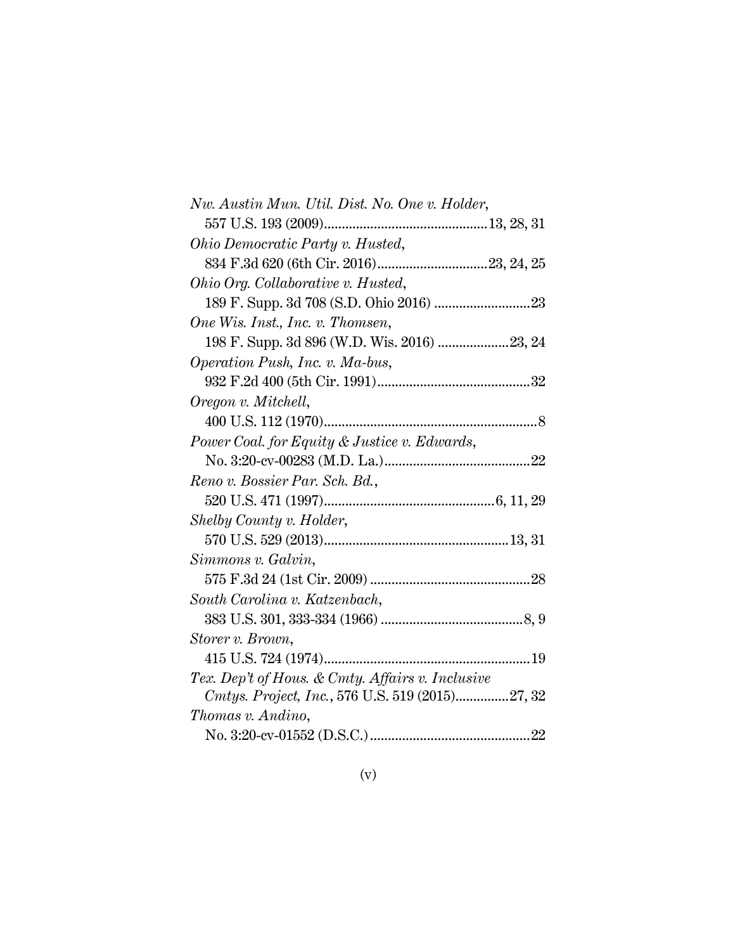| Nw. Austin Mun. Util. Dist. No. One v. Holder,   |
|--------------------------------------------------|
|                                                  |
| Ohio Democratic Party v. Husted,                 |
|                                                  |
| Ohio Org. Collaborative v. Husted,               |
|                                                  |
| One Wis. Inst., Inc. v. Thomsen,                 |
| 198 F. Supp. 3d 896 (W.D. Wis. 2016)  23, 24     |
| <i>Operation Push, Inc. v. Ma-bus,</i>           |
|                                                  |
| Oregon v. Mitchell,                              |
|                                                  |
| Power Coal. for Equity & Justice v. Edwards,     |
| 22                                               |
| Reno v. Bossier Par. Sch. Bd.,                   |
|                                                  |
| Shelby County v. Holder,                         |
|                                                  |
| Simmons v. Galvin,                               |
|                                                  |
| South Carolina v. Katzenbach,                    |
|                                                  |
| Storer v. Brown,                                 |
|                                                  |
| Tex. Dep't of Hous. & Cmty. Affairs v. Inclusive |
| Cmtys. Project, Inc., 576 U.S. 519 (2015)27, 32  |
| Thomas v. Andino,                                |
|                                                  |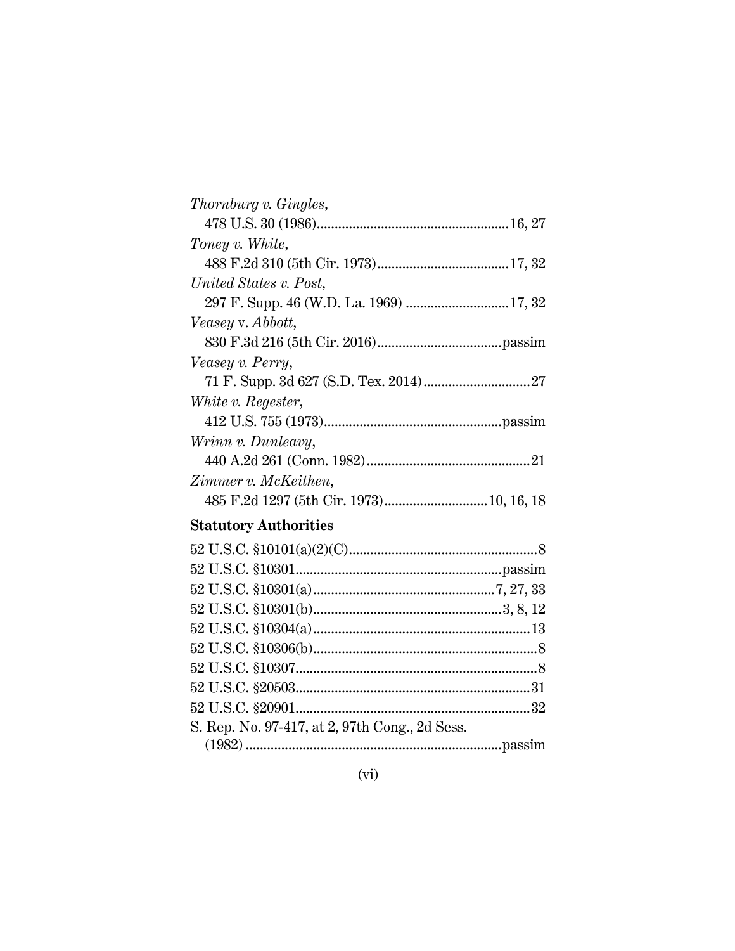| Thornburg v. Gingles,  |  |
|------------------------|--|
|                        |  |
| Toney v. White,        |  |
|                        |  |
| United States v. Post, |  |
|                        |  |
| Veasey v. Abbott,      |  |
|                        |  |
| Veasey v. Perry,       |  |
|                        |  |
| White v. Regester,     |  |
|                        |  |
| Wrinn v. Dunleavy,     |  |
|                        |  |
| Zimmer v. McKeithen,   |  |
|                        |  |
|                        |  |

# **Statutory Authorities**

| S. Rep. No. 97-417, at 2, 97th Cong., 2d Sess. |  |
|------------------------------------------------|--|
|                                                |  |
|                                                |  |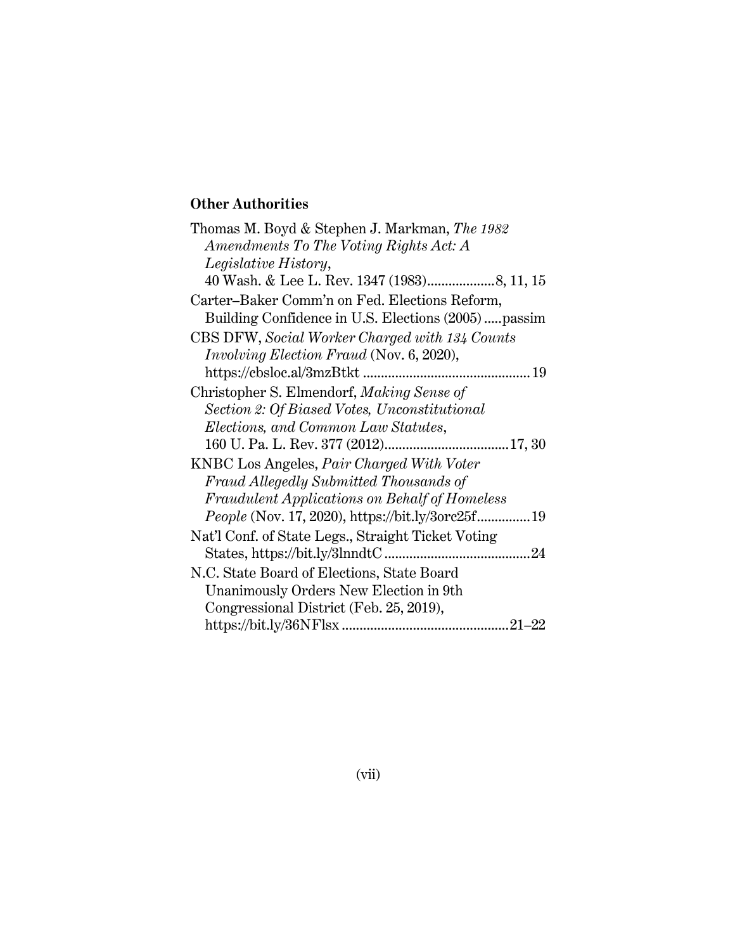## **Other Authorities**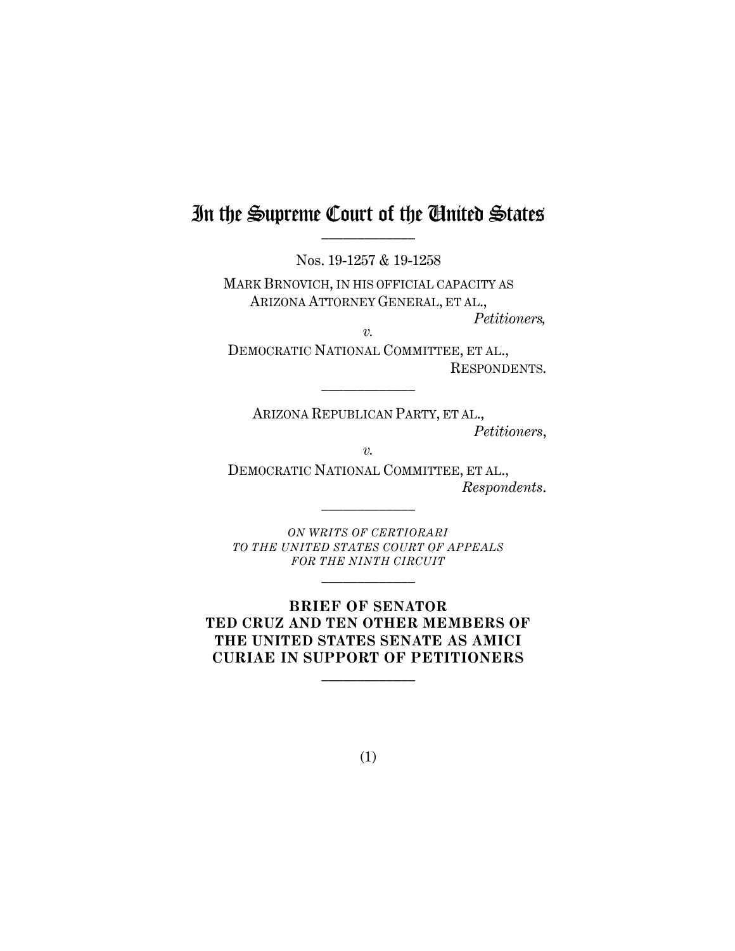# In the Supreme Court of the Chuited States

Nos. 19-1257 & 19-1258

MARK BRNOVICH, IN HIS OFFICIAL CAPACITY AS ARIZONA ATTORNEY GENERAL, ET AL.,

*Petitioners, v.*

 $\frac{1}{2}$ 

DEMOCRATIC NATIONAL COMMITTEE, ET AL., RESPONDENTS.

ARIZONA REPUBLICAN PARTY, ET AL., *Petitioners*,

*v.*

DEMOCRATIC NATIONAL COMMITTEE, ET AL., *Respondents*.

*ON WRITS OF CERTIORARI TO THE UNITED STATES COURT OF APPEALS FOR THE NINTH CIRCUIT*

 $\mathcal{L}_\text{max}$ 

 $\mathcal{L}_\text{max}$ 

**BRIEF OF SENATOR TED CRUZ AND TEN OTHER MEMBERS OF THE UNITED STATES SENATE AS AMICI CURIAE IN SUPPORT OF PETITIONERS**  $\frac{1}{2}$ 

(1)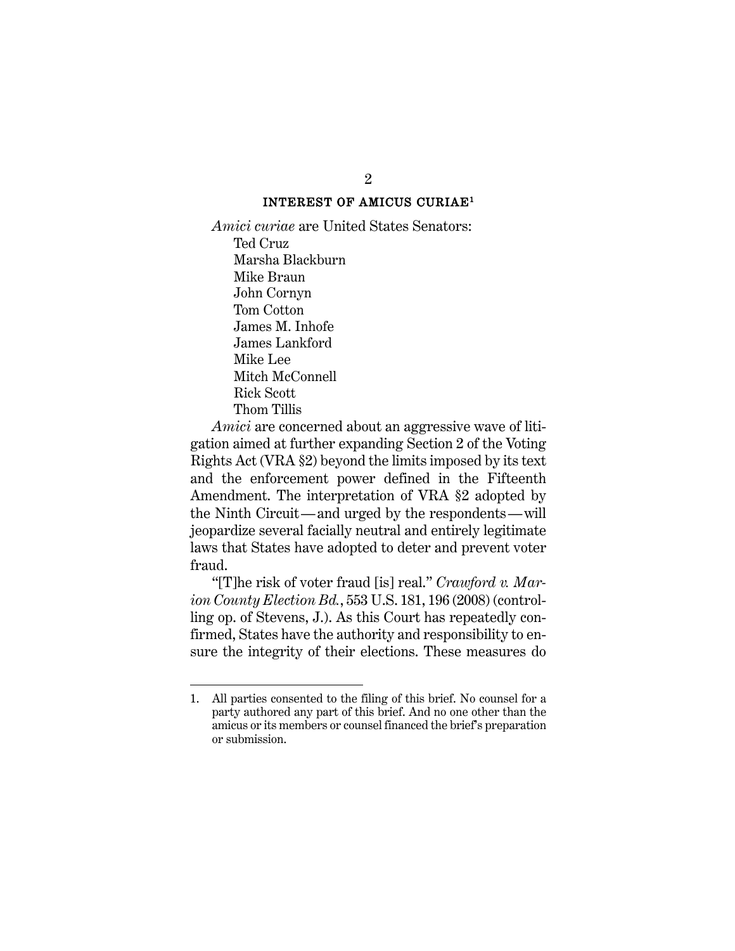#### INTEREST OF AMICUS CURIAE<sup>1</sup>

*Amici curiae* are United States Senators: Ted Cruz Marsha Blackburn Mike Braun John Cornyn Tom Cotton James M. Inhofe James Lankford Mike Lee Mitch McConnell Rick Scott Thom Tillis

*Amici* are concerned about an aggressive wave of litigation aimed at further expanding Section 2 of the Voting Rights Act (VRA §2) beyond the limits imposed by its text and the enforcement power defined in the Fifteenth Amendment. The interpretation of VRA §2 adopted by the Ninth Circuit—and urged by the respondents—will jeopardize several facially neutral and entirely legitimate laws that States have adopted to deter and prevent voter fraud.

"[T]he risk of voter fraud [is] real." *Crawford v. Marion County Election Bd.*, 553 U.S. 181, 196 (2008) (controlling op. of Stevens, J.). As this Court has repeatedly confirmed, States have the authority and responsibility to ensure the integrity of their elections. These measures do

2

<sup>1.</sup> All parties consented to the filing of this brief. No counsel for a party authored any part of this brief. And no one other than the amicus or its members or counsel financed the brief's preparation or submission.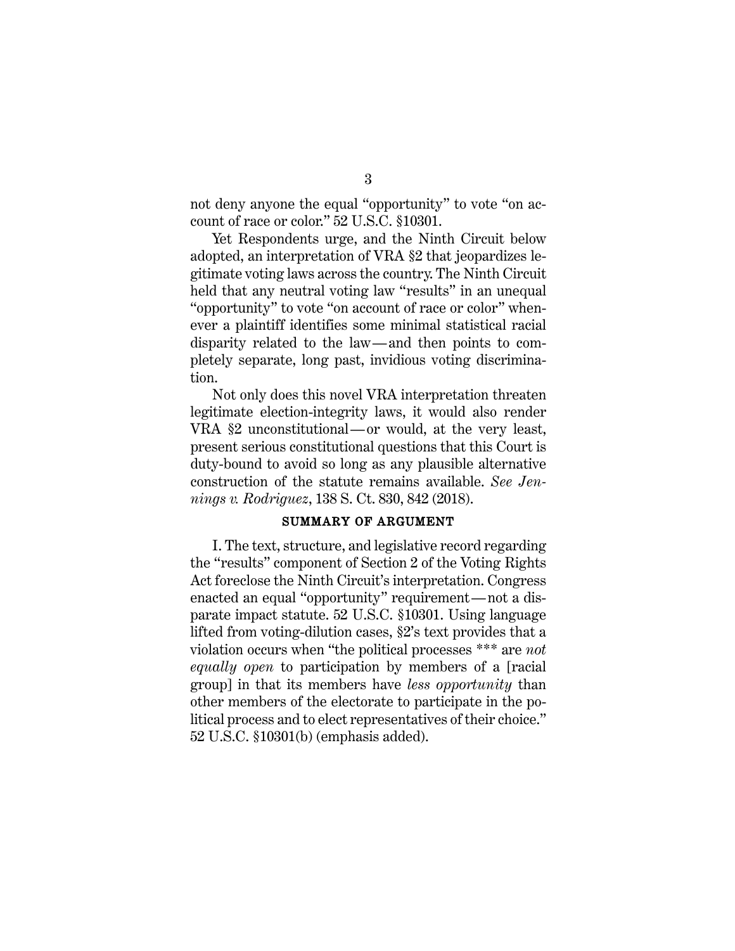not deny anyone the equal "opportunity" to vote "on account of race or color." 52 U.S.C. §10301.

Yet Respondents urge, and the Ninth Circuit below adopted, an interpretation of VRA §2 that jeopardizes legitimate voting laws across the country. The Ninth Circuit held that any neutral voting law "results" in an unequal "opportunity" to vote "on account of race or color" whenever a plaintiff identifies some minimal statistical racial disparity related to the law—and then points to completely separate, long past, invidious voting discrimination.

Not only does this novel VRA interpretation threaten legitimate election-integrity laws, it would also render VRA §2 unconstitutional—or would, at the very least, present serious constitutional questions that this Court is duty-bound to avoid so long as any plausible alternative construction of the statute remains available. *See Jennings v. Rodriguez*, 138 S. Ct. 830, 842 (2018).

#### SUMMARY OF ARGUMENT

I. The text, structure, and legislative record regarding the "results" component of Section 2 of the Voting Rights Act foreclose the Ninth Circuit's interpretation. Congress enacted an equal "opportunity" requirement—not a disparate impact statute. 52 U.S.C. §10301. Using language lifted from voting-dilution cases, §2's text provides that a violation occurs when "the political processes \*\*\* are *not equally open* to participation by members of a [racial group] in that its members have *less opportunity* than other members of the electorate to participate in the political process and to elect representatives of their choice." 52 U.S.C. §10301(b) (emphasis added).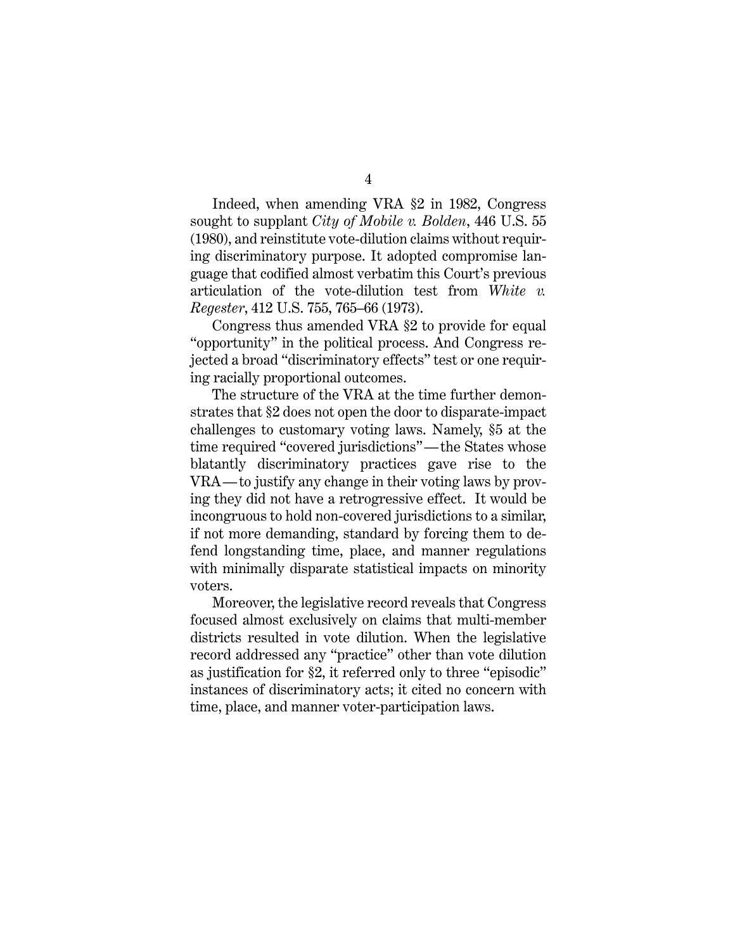Indeed, when amending VRA §2 in 1982, Congress sought to supplant *City of Mobile v. Bolden*, 446 U.S. 55 (1980), and reinstitute vote-dilution claims without requiring discriminatory purpose. It adopted compromise language that codified almost verbatim this Court's previous articulation of the vote-dilution test from *White v. Regester*, 412 U.S. 755, 765–66 (1973).

Congress thus amended VRA §2 to provide for equal "opportunity" in the political process. And Congress rejected a broad "discriminatory effects" test or one requiring racially proportional outcomes.

The structure of the VRA at the time further demonstrates that §2 does not open the door to disparate-impact challenges to customary voting laws. Namely, §5 at the time required "covered jurisdictions"—the States whose blatantly discriminatory practices gave rise to the VRA—to justify any change in their voting laws by proving they did not have a retrogressive effect. It would be incongruous to hold non-covered jurisdictions to a similar, if not more demanding, standard by forcing them to defend longstanding time, place, and manner regulations with minimally disparate statistical impacts on minority voters.

Moreover, the legislative record reveals that Congress focused almost exclusively on claims that multi-member districts resulted in vote dilution. When the legislative record addressed any "practice" other than vote dilution as justification for §2, it referred only to three "episodic" instances of discriminatory acts; it cited no concern with time, place, and manner voter-participation laws.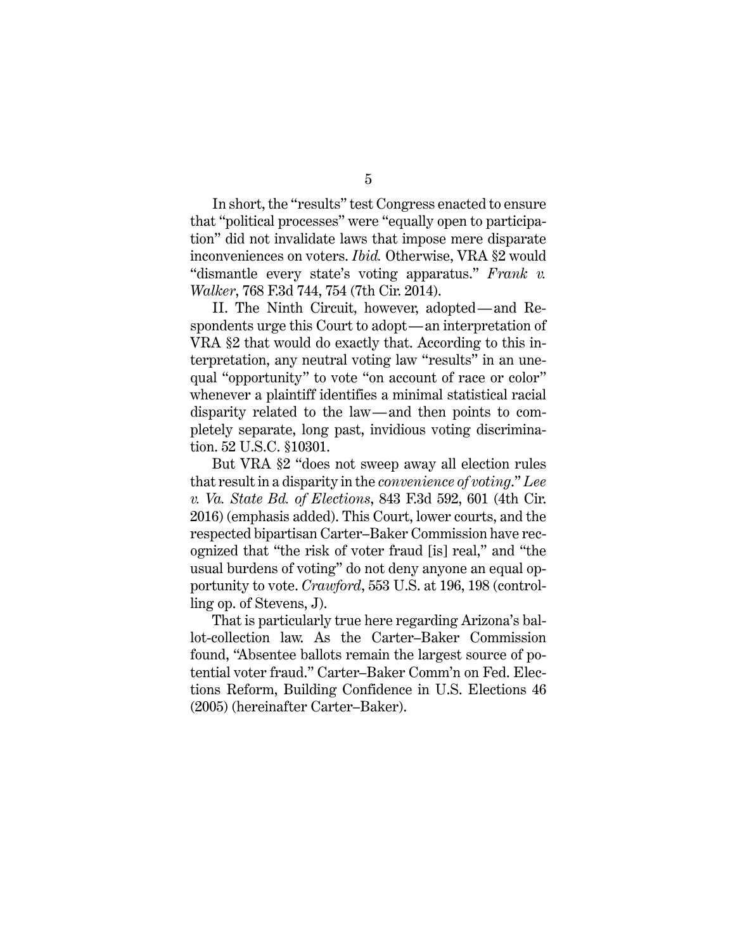5

In short, the "results" test Congress enacted to ensure that "political processes" were "equally open to participation" did not invalidate laws that impose mere disparate inconveniences on voters. *Ibid.* Otherwise, VRA §2 would "dismantle every state's voting apparatus." *Frank v. Walker*, 768 F.3d 744, 754 (7th Cir. 2014).

II. The Ninth Circuit, however, adopted—and Respondents urge this Court to adopt—an interpretation of VRA §2 that would do exactly that. According to this interpretation, any neutral voting law "results" in an unequal "opportunity" to vote "on account of race or color" whenever a plaintiff identifies a minimal statistical racial disparity related to the law—and then points to completely separate, long past, invidious voting discrimination. 52 U.S.C. §10301.

But VRA §2 "does not sweep away all election rules that result in a disparity in the *convenience of voting*." *Lee v. Va. State Bd. of Elections*, 843 F.3d 592, 601 (4th Cir. 2016) (emphasis added). This Court, lower courts, and the respected bipartisan Carter–Baker Commission have recognized that "the risk of voter fraud [is] real," and "the usual burdens of voting" do not deny anyone an equal opportunity to vote. *Crawford*, 553 U.S. at 196, 198 (controlling op. of Stevens, J).

That is particularly true here regarding Arizona's ballot-collection law. As the Carter–Baker Commission found, "Absentee ballots remain the largest source of potential voter fraud." Carter–Baker Comm'n on Fed. Elections Reform, Building Confidence in U.S. Elections 46 (2005) (hereinafter Carter–Baker).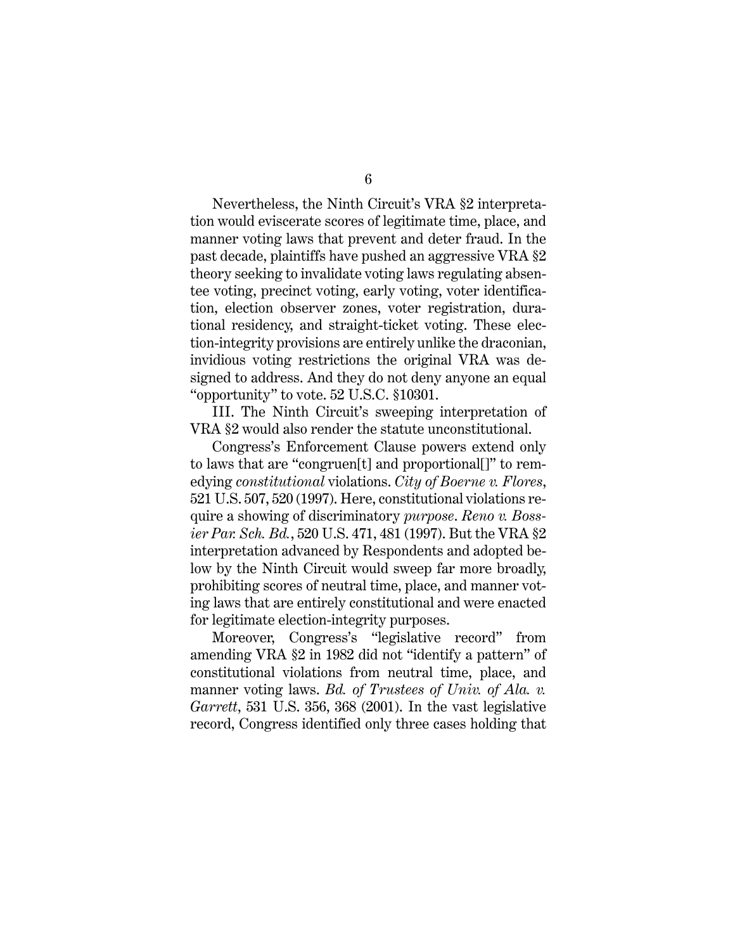Nevertheless, the Ninth Circuit's VRA §2 interpretation would eviscerate scores of legitimate time, place, and manner voting laws that prevent and deter fraud. In the past decade, plaintiffs have pushed an aggressive VRA §2 theory seeking to invalidate voting laws regulating absentee voting, precinct voting, early voting, voter identification, election observer zones, voter registration, durational residency, and straight-ticket voting. These election-integrity provisions are entirely unlike the draconian, invidious voting restrictions the original VRA was designed to address. And they do not deny anyone an equal "opportunity" to vote. 52 U.S.C. §10301.

III. The Ninth Circuit's sweeping interpretation of VRA §2 would also render the statute unconstitutional.

Congress's Enforcement Clause powers extend only to laws that are "congruen[t] and proportional[]" to remedying *constitutional* violations. *City of Boerne v. Flores*, 521 U.S. 507, 520 (1997). Here, constitutional violations require a showing of discriminatory *purpose*. *Reno v. Bossier Par. Sch. Bd.*, 520 U.S. 471, 481 (1997). But the VRA §2 interpretation advanced by Respondents and adopted below by the Ninth Circuit would sweep far more broadly, prohibiting scores of neutral time, place, and manner voting laws that are entirely constitutional and were enacted for legitimate election-integrity purposes.

Moreover, Congress's "legislative record" from amending VRA §2 in 1982 did not "identify a pattern" of constitutional violations from neutral time, place, and manner voting laws. *Bd. of Trustees of Univ. of Ala. v. Garrett*, 531 U.S. 356, 368 (2001). In the vast legislative record, Congress identified only three cases holding that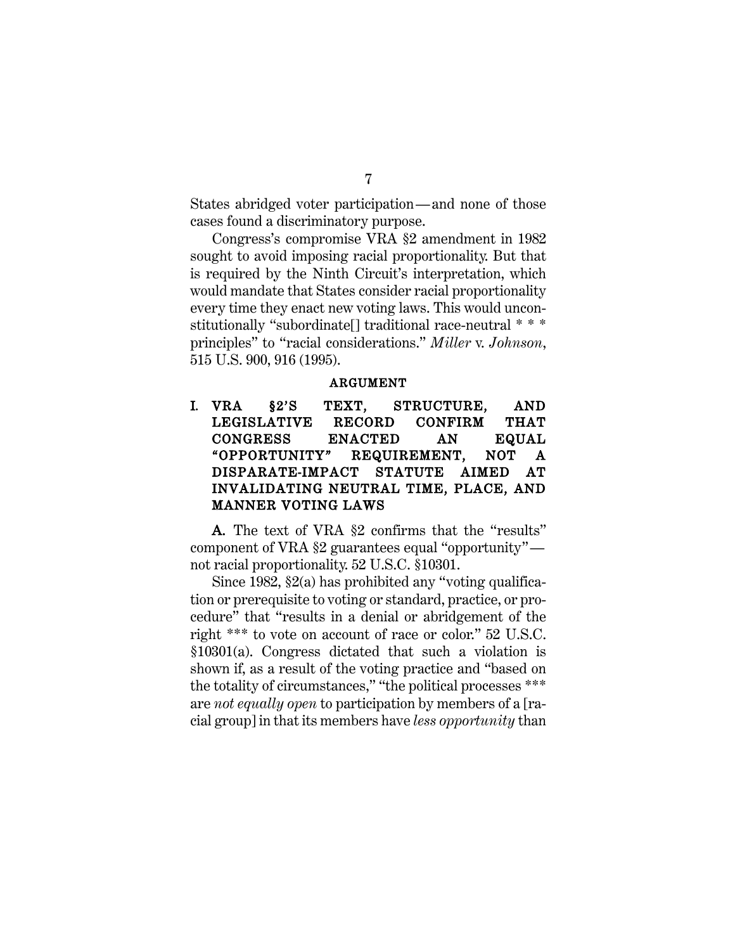States abridged voter participation—and none of those cases found a discriminatory purpose.

Congress's compromise VRA §2 amendment in 1982 sought to avoid imposing racial proportionality. But that is required by the Ninth Circuit's interpretation, which would mandate that States consider racial proportionality every time they enact new voting laws. This would unconstitutionally "subordinate[] traditional race-neutral \* \* \* principles" to "racial considerations." *Miller* v. *Johnson*, 515 U.S. 900, 916 (1995).

#### ARGUMENT

I. VRA §2'S TEXT, STRUCTURE, AND LEGISLATIVE RECORD CONFIRM THAT CONGRESS ENACTED AN EQUAL "OPPORTUNITY" REQUIREMENT, NOT A DISPARATE-IMPACT STATUTE AIMED AT INVALIDATING NEUTRAL TIME, PLACE, AND MANNER VOTING LAWS

A. The text of VRA §2 confirms that the "results" component of VRA §2 guarantees equal "opportunity" not racial proportionality. 52 U.S.C. §10301.

Since 1982, §2(a) has prohibited any "voting qualification or prerequisite to voting or standard, practice, or procedure" that "results in a denial or abridgement of the right \*\*\* to vote on account of race or color." 52 U.S.C. §10301(a). Congress dictated that such a violation is shown if, as a result of the voting practice and "based on the totality of circumstances," "the political processes \*\*\* are *not equally open* to participation by members of a [racial group] in that its members have *less opportunity* than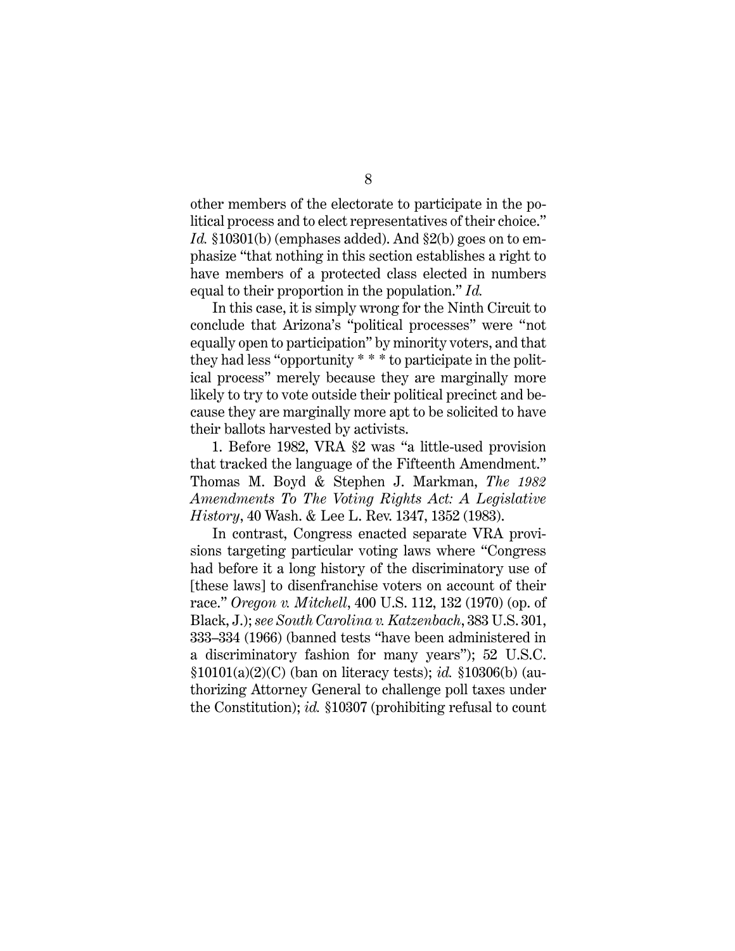other members of the electorate to participate in the political process and to elect representatives of their choice." *Id.* §10301(b) (emphases added). And §2(b) goes on to emphasize "that nothing in this section establishes a right to have members of a protected class elected in numbers equal to their proportion in the population." *Id.*

In this case, it is simply wrong for the Ninth Circuit to conclude that Arizona's "political processes" were "not equally open to participation" by minority voters, and that they had less "opportunity \* \* \* to participate in the political process" merely because they are marginally more likely to try to vote outside their political precinct and because they are marginally more apt to be solicited to have their ballots harvested by activists.

1. Before 1982, VRA §2 was "a little-used provision that tracked the language of the Fifteenth Amendment." Thomas M. Boyd & Stephen J. Markman, *The 1982 Amendments To The Voting Rights Act: A Legislative History*, 40 Wash. & Lee L. Rev. 1347, 1352 (1983).

In contrast, Congress enacted separate VRA provisions targeting particular voting laws where "Congress had before it a long history of the discriminatory use of [these laws] to disenfranchise voters on account of their race." *Oregon v. Mitchell*, 400 U.S. 112, 132 (1970) (op. of Black, J.); *see South Carolina v. Katzenbach*, 383 U.S. 301, 333–334 (1966) (banned tests "have been administered in a discriminatory fashion for many years"); 52 U.S.C. §10101(a)(2)(C) (ban on literacy tests); *id.* §10306(b) (authorizing Attorney General to challenge poll taxes under the Constitution); *id.* §10307 (prohibiting refusal to count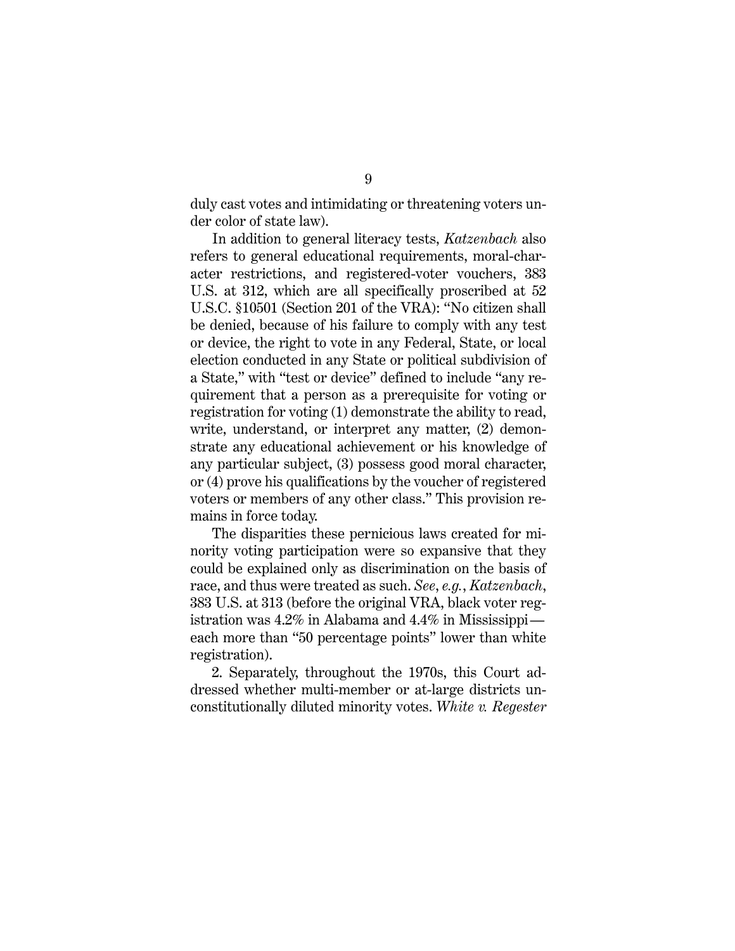duly cast votes and intimidating or threatening voters under color of state law).

In addition to general literacy tests, *Katzenbach* also refers to general educational requirements, moral-character restrictions, and registered-voter vouchers, 383 U.S. at 312, which are all specifically proscribed at 52 U.S.C. §10501 (Section 201 of the VRA): "No citizen shall be denied, because of his failure to comply with any test or device, the right to vote in any Federal, State, or local election conducted in any State or political subdivision of a State," with "test or device" defined to include "any requirement that a person as a prerequisite for voting or registration for voting (1) demonstrate the ability to read, write, understand, or interpret any matter, (2) demonstrate any educational achievement or his knowledge of any particular subject, (3) possess good moral character, or (4) prove his qualifications by the voucher of registered voters or members of any other class." This provision remains in force today.

The disparities these pernicious laws created for minority voting participation were so expansive that they could be explained only as discrimination on the basis of race, and thus were treated as such. *See*, *e.g.*, *Katzenbach*, 383 U.S. at 313 (before the original VRA, black voter registration was 4.2% in Alabama and 4.4% in Mississippi each more than "50 percentage points" lower than white registration).

2. Separately, throughout the 1970s, this Court addressed whether multi-member or at-large districts unconstitutionally diluted minority votes. *White v. Regester*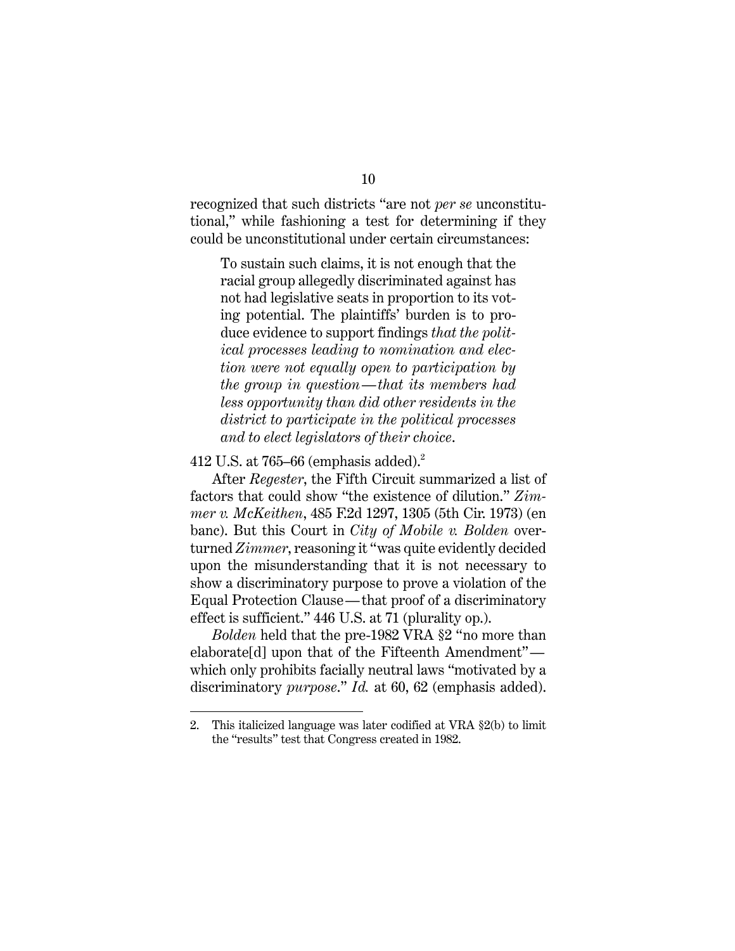recognized that such districts "are not *per se* unconstitutional," while fashioning a test for determining if they could be unconstitutional under certain circumstances:

To sustain such claims, it is not enough that the racial group allegedly discriminated against has not had legislative seats in proportion to its voting potential. The plaintiffs' burden is to produce evidence to support findings *that the political processes leading to nomination and election were not equally open to participation by the group in question—that its members had less opportunity than did other residents in the district to participate in the political processes and to elect legislators of their choice*.

#### 412 U.S. at 765–66 (emphasis added). $2$

After *Regester*, the Fifth Circuit summarized a list of factors that could show "the existence of dilution." *Zimmer v. McKeithen*, 485 F.2d 1297, 1305 (5th Cir. 1973) (en banc). But this Court in *City of Mobile v. Bolden* overturned *Zimmer*, reasoning it "was quite evidently decided upon the misunderstanding that it is not necessary to show a discriminatory purpose to prove a violation of the Equal Protection Clause—that proof of a discriminatory effect is sufficient." 446 U.S. at 71 (plurality op.).

*Bolden* held that the pre-1982 VRA §2 "no more than elaborate[d] upon that of the Fifteenth Amendment" which only prohibits facially neutral laws "motivated by a discriminatory *purpose*." *Id.* at 60, 62 (emphasis added).

<sup>2.</sup> This italicized language was later codified at VRA §2(b) to limit the "results" test that Congress created in 1982.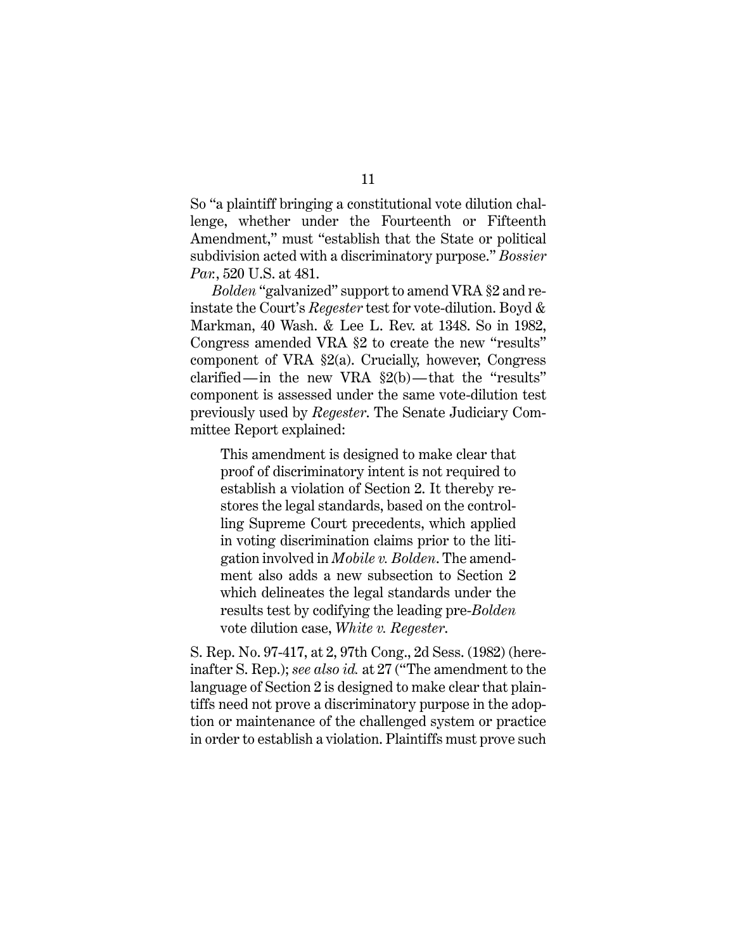So "a plaintiff bringing a constitutional vote dilution challenge, whether under the Fourteenth or Fifteenth Amendment," must "establish that the State or political subdivision acted with a discriminatory purpose." *Bossier Par.*, 520 U.S. at 481.

*Bolden* "galvanized" support to amend VRA §2 and reinstate the Court's *Regester* test for vote-dilution. Boyd & Markman, 40 Wash. & Lee L. Rev. at 1348. So in 1982, Congress amended VRA §2 to create the new "results" component of VRA §2(a). Crucially, however, Congress clarified—in the new VRA  $\S2(b)$ —that the "results" component is assessed under the same vote-dilution test previously used by *Regester*. The Senate Judiciary Committee Report explained:

This amendment is designed to make clear that proof of discriminatory intent is not required to establish a violation of Section 2. It thereby restores the legal standards, based on the controlling Supreme Court precedents, which applied in voting discrimination claims prior to the litigation involved in *Mobile v. Bolden*. The amendment also adds a new subsection to Section 2 which delineates the legal standards under the results test by codifying the leading pre-*Bolden* vote dilution case, *White v. Regester*.

S. Rep. No. 97-417, at 2, 97th Cong., 2d Sess. (1982) (hereinafter S. Rep.); *see also id.* at 27 ("The amendment to the language of Section 2 is designed to make clear that plaintiffs need not prove a discriminatory purpose in the adoption or maintenance of the challenged system or practice in order to establish a violation. Plaintiffs must prove such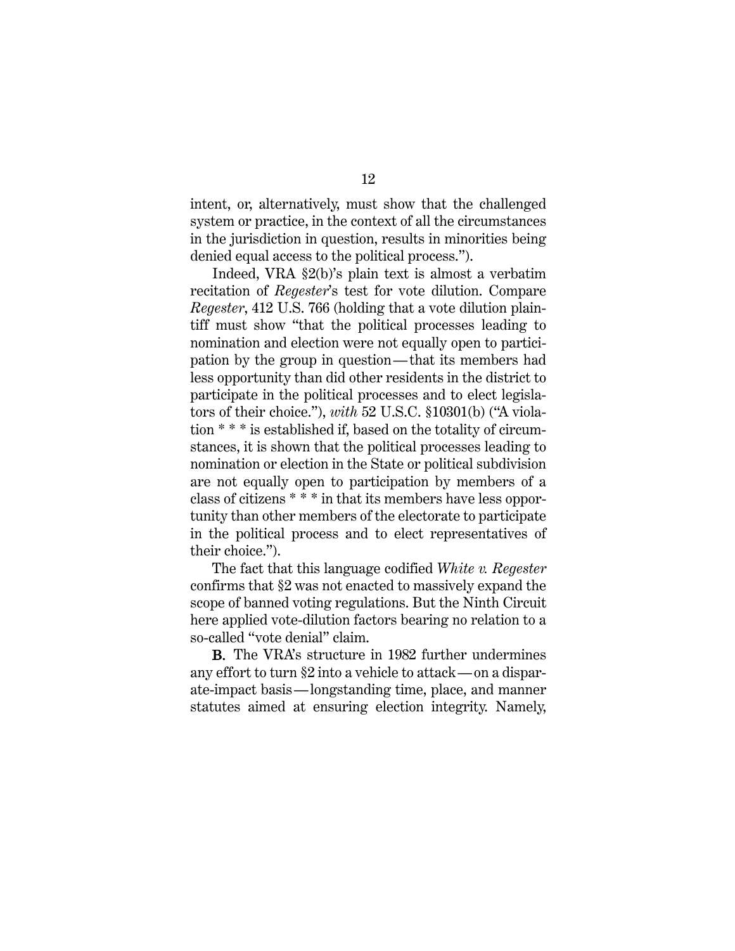intent, or, alternatively, must show that the challenged system or practice, in the context of all the circumstances in the jurisdiction in question, results in minorities being denied equal access to the political process.").

Indeed, VRA §2(b)'s plain text is almost a verbatim recitation of *Regester*'s test for vote dilution. Compare *Regester*, 412 U.S. 766 (holding that a vote dilution plaintiff must show "that the political processes leading to nomination and election were not equally open to participation by the group in question—that its members had less opportunity than did other residents in the district to participate in the political processes and to elect legislators of their choice."), *with* 52 U.S.C. §10301(b) ("A violation \* \* \* is established if, based on the totality of circumstances, it is shown that the political processes leading to nomination or election in the State or political subdivision are not equally open to participation by members of a class of citizens \* \* \* in that its members have less opportunity than other members of the electorate to participate in the political process and to elect representatives of their choice.").

The fact that this language codified *White v. Regester* confirms that §2 was not enacted to massively expand the scope of banned voting regulations. But the Ninth Circuit here applied vote-dilution factors bearing no relation to a so-called "vote denial" claim.

B. The VRA's structure in 1982 further undermines any effort to turn §2 into a vehicle to attack—on a disparate-impact basis—longstanding time, place, and manner statutes aimed at ensuring election integrity. Namely,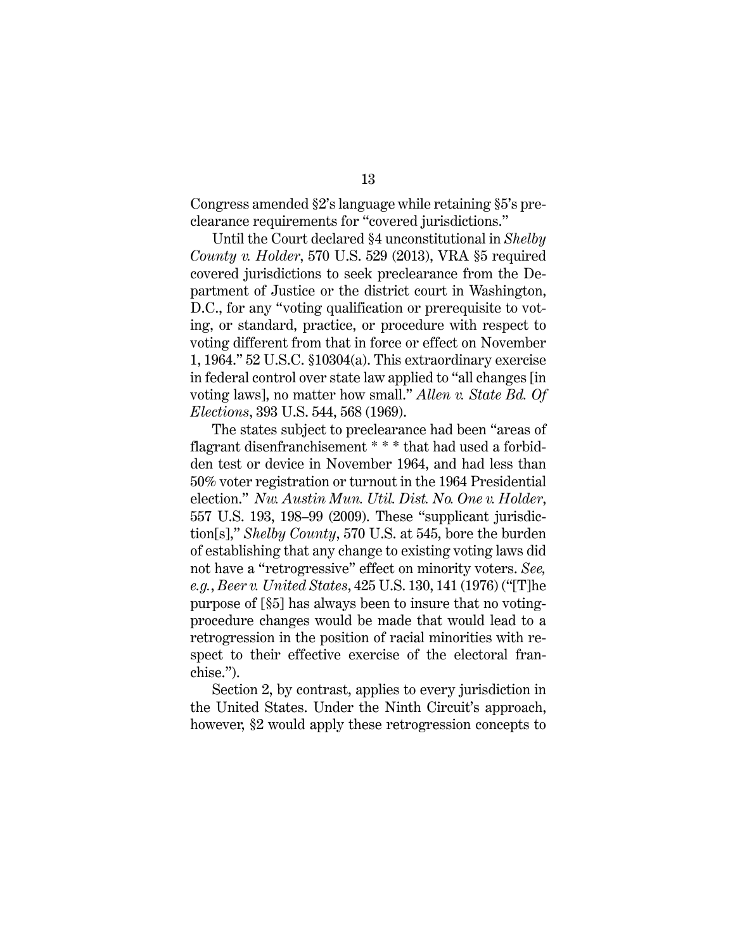Congress amended §2's language while retaining §5's preclearance requirements for "covered jurisdictions."

Until the Court declared §4 unconstitutional in *Shelby County v. Holder*, 570 U.S. 529 (2013), VRA §5 required covered jurisdictions to seek preclearance from the Department of Justice or the district court in Washington, D.C., for any "voting qualification or prerequisite to voting, or standard, practice, or procedure with respect to voting different from that in force or effect on November 1, 1964." 52 U.S.C. §10304(a). This extraordinary exercise in federal control over state law applied to "all changes [in voting laws], no matter how small." *Allen v. State Bd. Of Elections*, 393 U.S. 544, 568 (1969).

The states subject to preclearance had been "areas of flagrant disenfranchisement \* \* \* that had used a forbidden test or device in November 1964, and had less than 50% voter registration or turnout in the 1964 Presidential election." *Nw. Austin Mun. Util. Dist. No. One v. Holder*, 557 U.S. 193, 198–99 (2009). These "supplicant jurisdiction[s]," *Shelby County*, 570 U.S. at 545, bore the burden of establishing that any change to existing voting laws did not have a "retrogressive" effect on minority voters. *See, e.g.*, *Beer v. United States*, 425 U.S. 130, 141 (1976) ("[T]he purpose of [§5] has always been to insure that no votingprocedure changes would be made that would lead to a retrogression in the position of racial minorities with respect to their effective exercise of the electoral franchise.").

Section 2, by contrast, applies to every jurisdiction in the United States. Under the Ninth Circuit's approach, however, §2 would apply these retrogression concepts to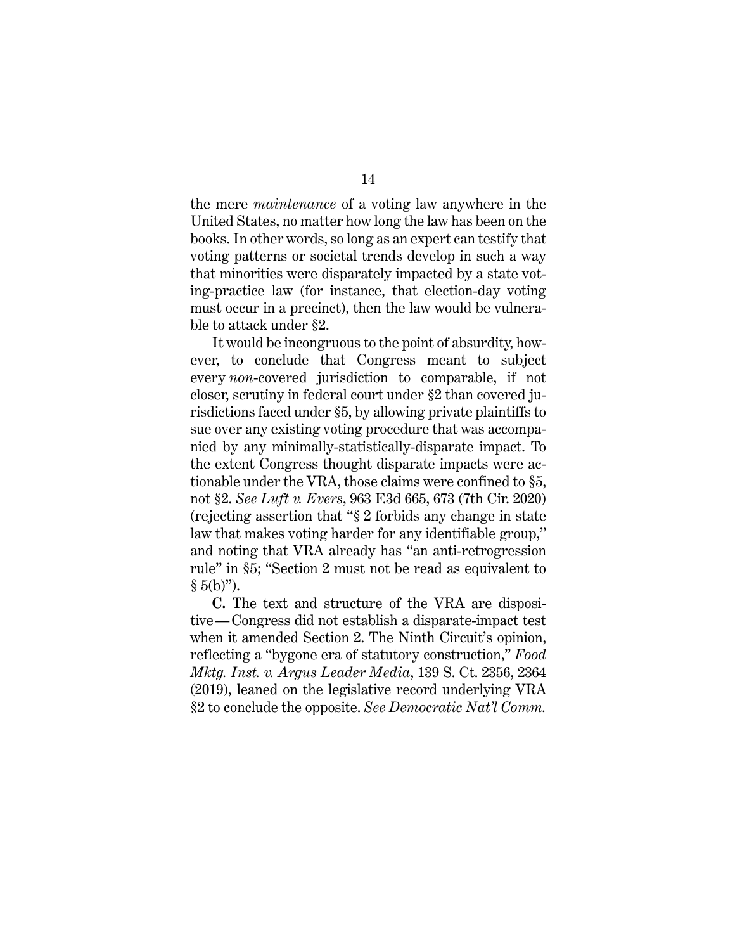the mere *maintenance* of a voting law anywhere in the United States, no matter how long the law has been on the books. In other words, so long as an expert can testify that voting patterns or societal trends develop in such a way that minorities were disparately impacted by a state voting-practice law (for instance, that election-day voting must occur in a precinct), then the law would be vulnerable to attack under §2.

It would be incongruous to the point of absurdity, however, to conclude that Congress meant to subject every *non*-covered jurisdiction to comparable, if not closer, scrutiny in federal court under §2 than covered jurisdictions faced under §5, by allowing private plaintiffs to sue over any existing voting procedure that was accompanied by any minimally-statistically-disparate impact. To the extent Congress thought disparate impacts were actionable under the VRA, those claims were confined to §5, not §2. *See Luft v. Evers*, 963 F.3d 665, 673 (7th Cir. 2020) (rejecting assertion that "§ 2 forbids any change in state law that makes voting harder for any identifiable group," and noting that VRA already has "an anti-retrogression rule" in §5; "Section 2 must not be read as equivalent to  $§ 5(b)$ ").

**C.** The text and structure of the VRA are dispositive—Congress did not establish a disparate-impact test when it amended Section 2. The Ninth Circuit's opinion, reflecting a "bygone era of statutory construction," *Food Mktg. Inst. v. Argus Leader Media*, 139 S. Ct. 2356, 2364 (2019), leaned on the legislative record underlying VRA §2 to conclude the opposite. *See Democratic Nat'l Comm.*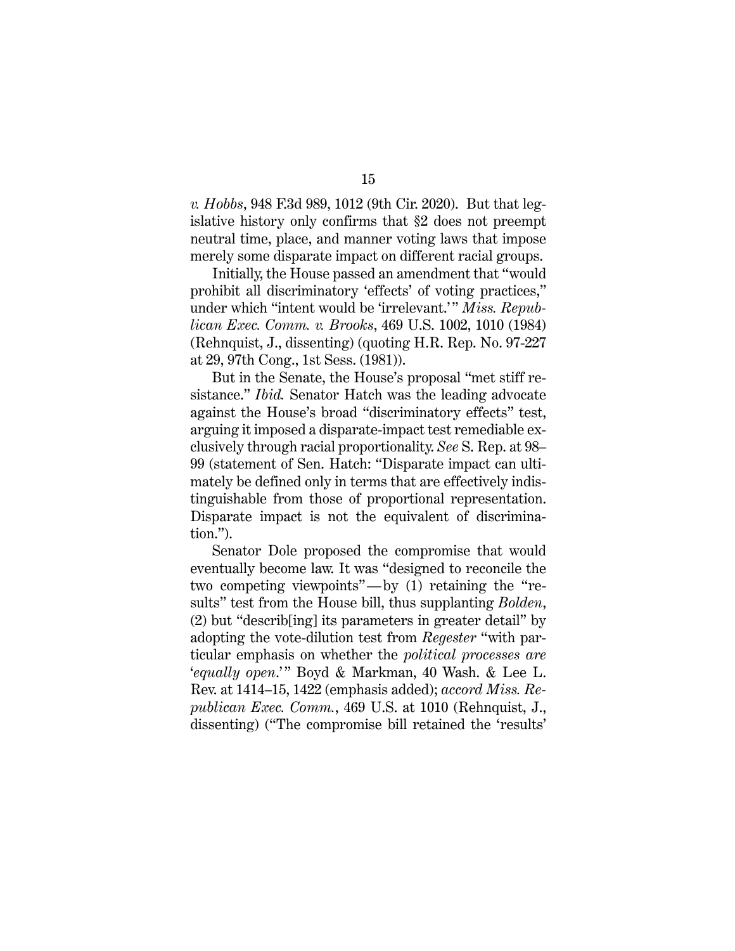*v. Hobbs*, 948 F.3d 989, 1012 (9th Cir. 2020). But that legislative history only confirms that §2 does not preempt neutral time, place, and manner voting laws that impose merely some disparate impact on different racial groups.

Initially, the House passed an amendment that "would prohibit all discriminatory 'effects' of voting practices," under which "intent would be 'irrelevant.' " *Miss. Republican Exec. Comm. v. Brooks*, 469 U.S. 1002, 1010 (1984) (Rehnquist, J., dissenting) (quoting H.R. Rep. No. 97-227 at 29, 97th Cong., 1st Sess. (1981)).

But in the Senate, the House's proposal "met stiff resistance." *Ibid.* Senator Hatch was the leading advocate against the House's broad "discriminatory effects" test, arguing it imposed a disparate-impact test remediable exclusively through racial proportionality. *See* S. Rep. at 98– 99 (statement of Sen. Hatch: "Disparate impact can ultimately be defined only in terms that are effectively indistinguishable from those of proportional representation. Disparate impact is not the equivalent of discrimination.").

Senator Dole proposed the compromise that would eventually become law. It was "designed to reconcile the two competing viewpoints"—by (1) retaining the "results" test from the House bill, thus supplanting *Bolden*, (2) but "describ[ing] its parameters in greater detail" by adopting the vote-dilution test from *Regester* "with particular emphasis on whether the *political processes are*  '*equally open*.'" Boyd & Markman, 40 Wash. & Lee L. Rev. at 1414–15, 1422 (emphasis added); *accord Miss. Republican Exec. Comm.*, 469 U.S. at 1010 (Rehnquist, J., dissenting) ("The compromise bill retained the 'results'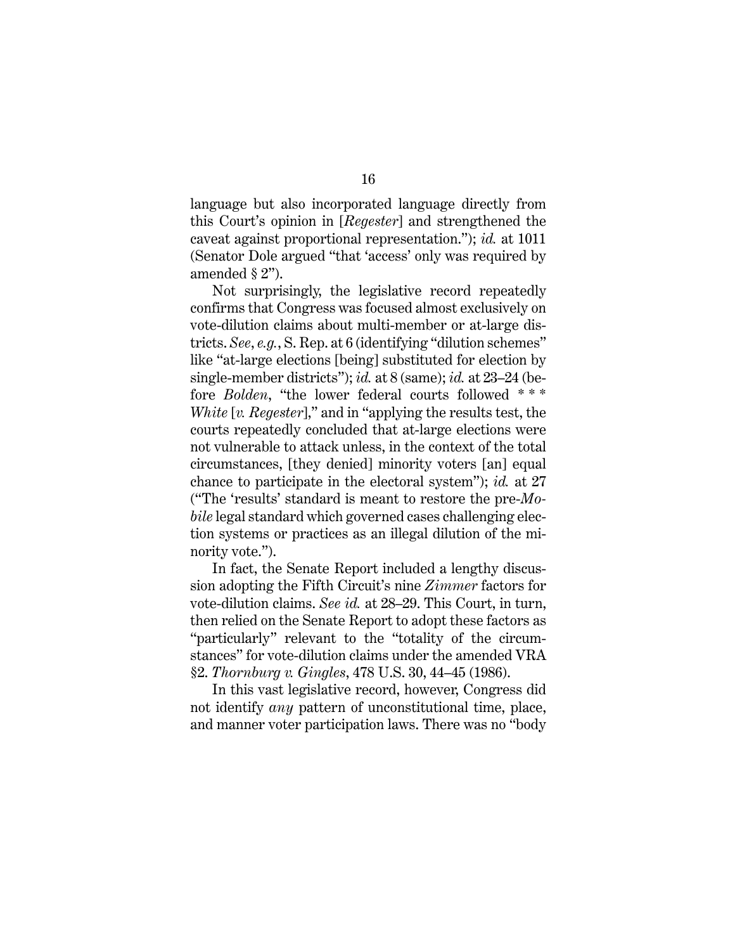language but also incorporated language directly from this Court's opinion in [*Regester*] and strengthened the caveat against proportional representation."); *id.* at 1011 (Senator Dole argued "that 'access' only was required by amended § 2").

Not surprisingly, the legislative record repeatedly confirms that Congress was focused almost exclusively on vote-dilution claims about multi-member or at-large districts. *See*, *e.g.*, S. Rep. at 6 (identifying "dilution schemes" like "at-large elections [being] substituted for election by single-member districts"); *id.* at 8 (same); *id.* at 23–24 (before *Bolden*, "the lower federal courts followed \*\*\* *White* [*v. Regester*]," and in "applying the results test, the courts repeatedly concluded that at-large elections were not vulnerable to attack unless, in the context of the total circumstances, [they denied] minority voters [an] equal chance to participate in the electoral system"); *id.* at 27 ("The 'results' standard is meant to restore the pre-*Mobile* legal standard which governed cases challenging election systems or practices as an illegal dilution of the minority vote.").

In fact, the Senate Report included a lengthy discussion adopting the Fifth Circuit's nine *Zimmer* factors for vote-dilution claims. *See id.* at 28–29. This Court, in turn, then relied on the Senate Report to adopt these factors as "particularly" relevant to the "totality of the circumstances" for vote-dilution claims under the amended VRA §2. *Thornburg v. Gingles*, 478 U.S. 30, 44–45 (1986).

In this vast legislative record, however, Congress did not identify *any* pattern of unconstitutional time, place, and manner voter participation laws. There was no "body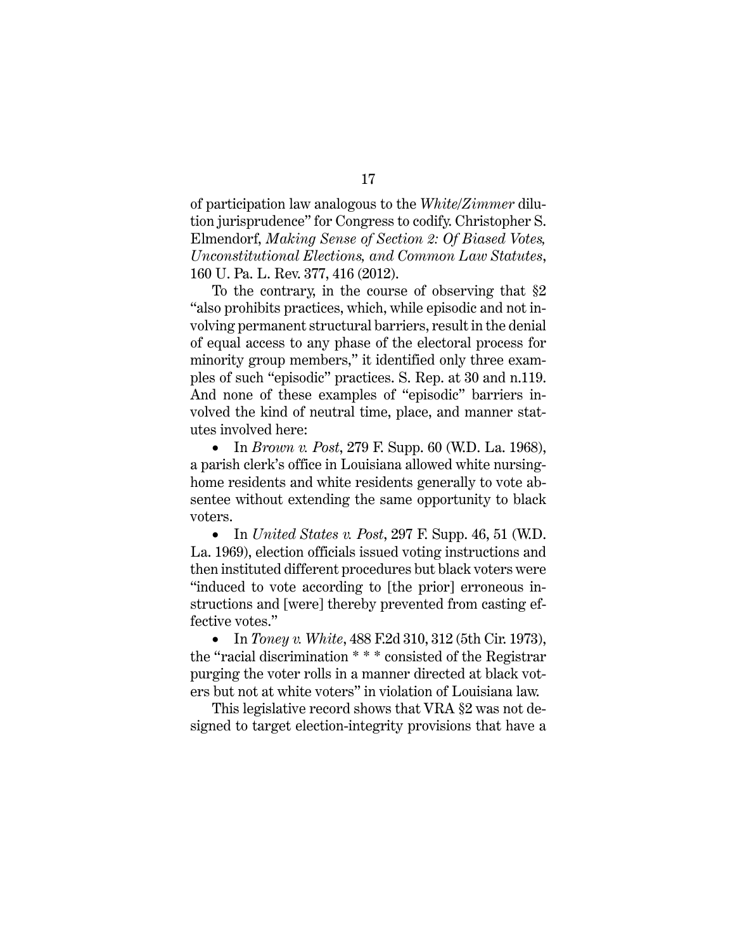of participation law analogous to the *White*/*Zimmer* dilution jurisprudence" for Congress to codify. Christopher S. Elmendorf, *Making Sense of Section 2: Of Biased Votes, Unconstitutional Elections, and Common Law Statutes*, 160 U. Pa. L. Rev. 377, 416 (2012).

To the contrary, in the course of observing that §2 "also prohibits practices, which, while episodic and not involving permanent structural barriers, result in the denial of equal access to any phase of the electoral process for minority group members," it identified only three examples of such "episodic" practices. S. Rep. at 30 and n.119. And none of these examples of "episodic" barriers involved the kind of neutral time, place, and manner statutes involved here:

• In *Brown v. Post*, 279 F. Supp. 60 (W.D. La. 1968), a parish clerk's office in Louisiana allowed white nursinghome residents and white residents generally to vote absentee without extending the same opportunity to black voters.

• In *United States v. Post*, 297 F. Supp. 46, 51 (W.D. La. 1969), election officials issued voting instructions and then instituted different procedures but black voters were "induced to vote according to [the prior] erroneous instructions and [were] thereby prevented from casting effective votes."

• In *Toney v. White*, 488 F.2d 310, 312 (5th Cir. 1973), the "racial discrimination \* \* \* consisted of the Registrar purging the voter rolls in a manner directed at black voters but not at white voters" in violation of Louisiana law.

This legislative record shows that VRA §2 was not designed to target election-integrity provisions that have a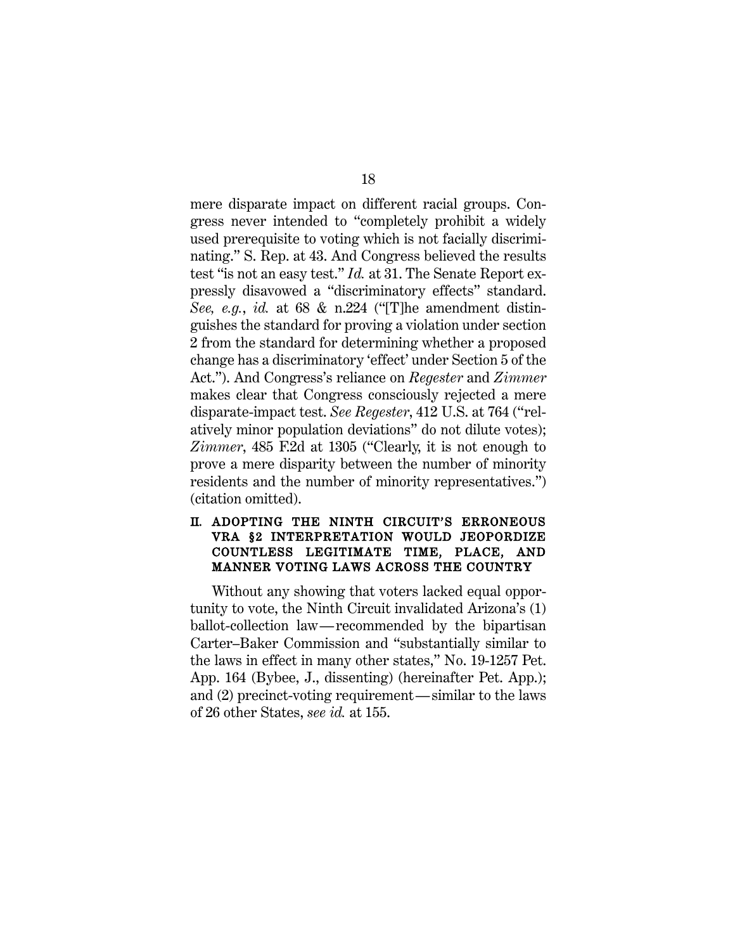mere disparate impact on different racial groups. Congress never intended to "completely prohibit a widely used prerequisite to voting which is not facially discriminating." S. Rep. at 43. And Congress believed the results test "is not an easy test." *Id.* at 31. The Senate Report expressly disavowed a "discriminatory effects" standard. *See, e.g.*, *id.* at 68 & n.224 ("[T]he amendment distinguishes the standard for proving a violation under section 2 from the standard for determining whether a proposed change has a discriminatory 'effect' under Section 5 of the Act."). And Congress's reliance on *Regester* and *Zimmer* makes clear that Congress consciously rejected a mere disparate-impact test. *See Regester*, 412 U.S. at 764 ("relatively minor population deviations" do not dilute votes); *Zimmer*, 485 F.2d at 1305 ("Clearly, it is not enough to prove a mere disparity between the number of minority residents and the number of minority representatives.") (citation omitted).

#### II. ADOPTING THE NINTH CIRCUIT'S ERRONEOUS VRA §2 INTERPRETATION WOULD JEOPORDIZE COUNTLESS LEGITIMATE TIME, PLACE, AND MANNER VOTING LAWS ACROSS THE COUNTRY

Without any showing that voters lacked equal opportunity to vote, the Ninth Circuit invalidated Arizona's (1) ballot-collection law—recommended by the bipartisan Carter–Baker Commission and "substantially similar to the laws in effect in many other states," No. 19-1257 Pet. App. 164 (Bybee, J., dissenting) (hereinafter Pet. App.); and (2) precinct-voting requirement—similar to the laws of 26 other States, *see id.* at 155.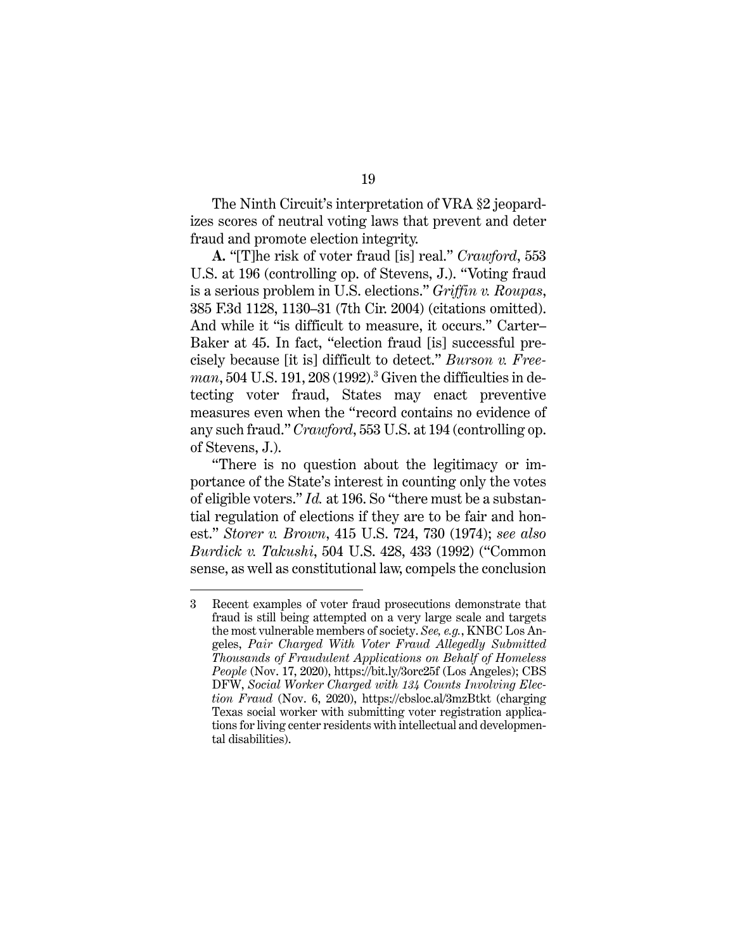The Ninth Circuit's interpretation of VRA §2 jeopardizes scores of neutral voting laws that prevent and deter fraud and promote election integrity.

**A.** "[T]he risk of voter fraud [is] real." *Crawford*, 553 U.S. at 196 (controlling op. of Stevens, J.). "Voting fraud is a serious problem in U.S. elections." *Griffin v. Roupas*, 385 F.3d 1128, 1130–31 (7th Cir. 2004) (citations omitted). And while it "is difficult to measure, it occurs." Carter– Baker at 45. In fact, "election fraud [is] successful precisely because [it is] difficult to detect." *Burson v. Freeman*, 504 U.S. 191, 208 (1992). <sup>3</sup> Given the difficulties in detecting voter fraud, States may enact preventive measures even when the "record contains no evidence of any such fraud." *Crawford*, 553 U.S. at 194 (controlling op. of Stevens, J.).

"There is no question about the legitimacy or importance of the State's interest in counting only the votes of eligible voters." *Id.* at 196. So "there must be a substantial regulation of elections if they are to be fair and honest." *Storer v. Brown*, 415 U.S. 724, 730 (1974); *see also Burdick v. Takushi*, 504 U.S. 428, 433 (1992) ("Common sense, as well as constitutional law, compels the conclusion

<sup>3</sup> Recent examples of voter fraud prosecutions demonstrate that fraud is still being attempted on a very large scale and targets the most vulnerable members of society. *See, e.g.*, KNBC Los Angeles, *Pair Charged With Voter Fraud Allegedly Submitted Thousands of Fraudulent Applications on Behalf of Homeless People* (Nov. 17, 2020), https://bit.ly/3orc25f (Los Angeles); CBS DFW, *Social Worker Charged with 134 Counts Involving Election Fraud* (Nov. 6, 2020), https://cbsloc.al/3mzBtkt (charging Texas social worker with submitting voter registration applications for living center residents with intellectual and developmental disabilities).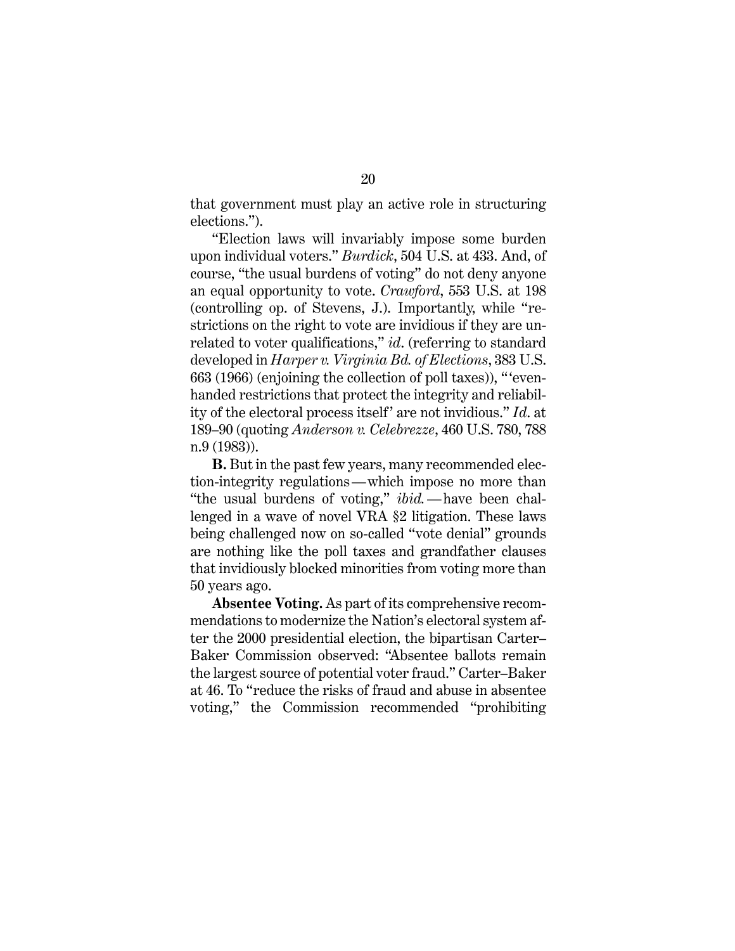that government must play an active role in structuring elections.").

"Election laws will invariably impose some burden upon individual voters." *Burdick*, 504 U.S. at 433. And, of course, "the usual burdens of voting" do not deny anyone an equal opportunity to vote. *Crawford*, 553 U.S. at 198 (controlling op. of Stevens, J.). Importantly, while "restrictions on the right to vote are invidious if they are unrelated to voter qualifications," *id*. (referring to standard developed in *Harper v. Virginia Bd. of Elections*, 383 U.S. 663 (1966) (enjoining the collection of poll taxes)), " 'evenhanded restrictions that protect the integrity and reliability of the electoral process itself' are not invidious." *Id.* at 189–90 (quoting *Anderson v. Celebrezze*, 460 U.S. 780, 788 n.9 (1983)).

**B.** But in the past few years, many recommended election-integrity regulations—which impose no more than "the usual burdens of voting," *ibid.*—have been challenged in a wave of novel VRA §2 litigation. These laws being challenged now on so-called "vote denial" grounds are nothing like the poll taxes and grandfather clauses that invidiously blocked minorities from voting more than 50 years ago.

**Absentee Voting.** As part of its comprehensive recommendations to modernize the Nation's electoral system after the 2000 presidential election, the bipartisan Carter– Baker Commission observed: "Absentee ballots remain the largest source of potential voter fraud." Carter–Baker at 46. To "reduce the risks of fraud and abuse in absentee voting," the Commission recommended "prohibiting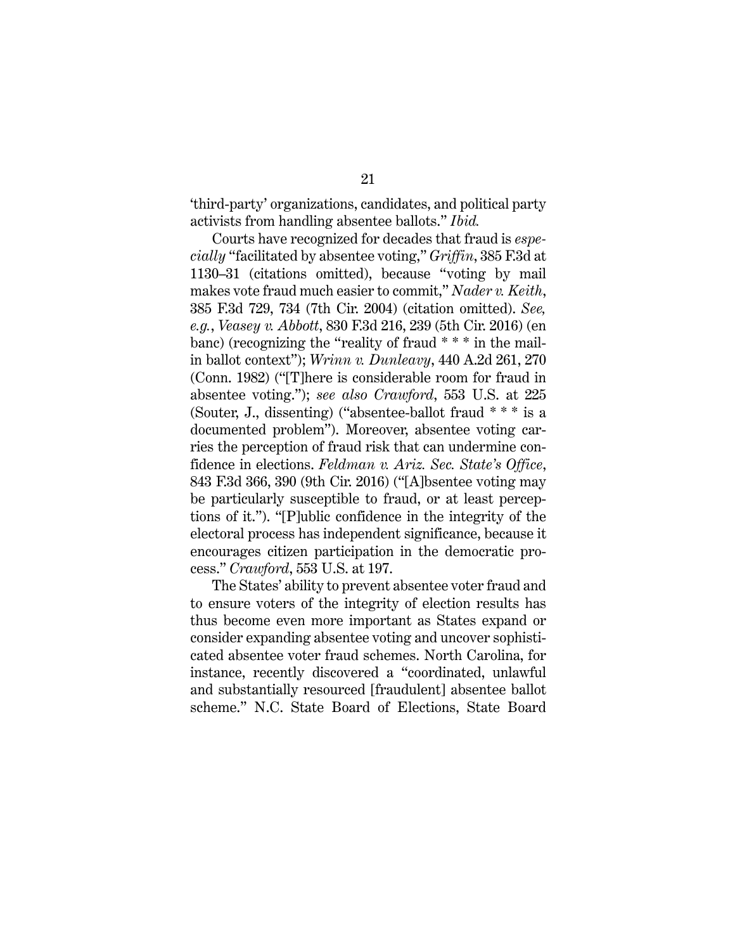'third-party' organizations, candidates, and political party activists from handling absentee ballots." *Ibid.*

Courts have recognized for decades that fraud is *especially* "facilitated by absentee voting," *Griffin*, 385 F.3d at 1130–31 (citations omitted), because "voting by mail makes vote fraud much easier to commit," *Nader v. Keith*, 385 F.3d 729, 734 (7th Cir. 2004) (citation omitted). *See, e.g.*, *Veasey v. Abbott*, 830 F.3d 216, 239 (5th Cir. 2016) (en banc) (recognizing the "reality of fraud \* \* \* in the mailin ballot context"); *Wrinn v. Dunleavy*, 440 A.2d 261, 270 (Conn. 1982) ("[T]here is considerable room for fraud in absentee voting."); *see also Crawford*, 553 U.S. at 225 (Souter, J., dissenting) ("absentee-ballot fraud \* \* \* is a documented problem"). Moreover, absentee voting carries the perception of fraud risk that can undermine confidence in elections. *Feldman v. Ariz. Sec. State's Office*, 843 F.3d 366, 390 (9th Cir. 2016) ("[A]bsentee voting may be particularly susceptible to fraud, or at least perceptions of it."). "[P]ublic confidence in the integrity of the electoral process has independent significance, because it encourages citizen participation in the democratic process." *Crawford*, 553 U.S. at 197.

The States' ability to prevent absentee voter fraud and to ensure voters of the integrity of election results has thus become even more important as States expand or consider expanding absentee voting and uncover sophisticated absentee voter fraud schemes. North Carolina, for instance, recently discovered a "coordinated, unlawful and substantially resourced [fraudulent] absentee ballot scheme." N.C. State Board of Elections, State Board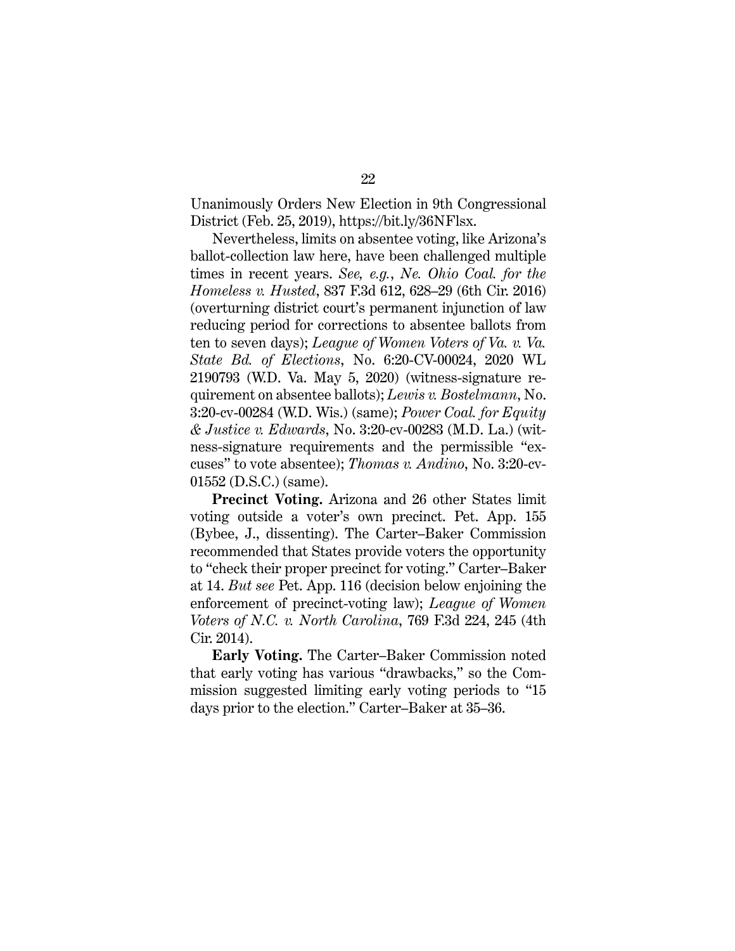Unanimously Orders New Election in 9th Congressional District (Feb. 25, 2019), https://bit.ly/36NFlsx.

Nevertheless, limits on absentee voting, like Arizona's ballot-collection law here, have been challenged multiple times in recent years. *See, e.g.*, *Ne. Ohio Coal. for the Homeless v. Husted*, 837 F.3d 612, 628–29 (6th Cir. 2016) (overturning district court's permanent injunction of law reducing period for corrections to absentee ballots from ten to seven days); *League of Women Voters of Va. v. Va. State Bd. of Elections*, No. 6:20-CV-00024, 2020 WL 2190793 (W.D. Va. May 5, 2020) (witness-signature requirement on absentee ballots); *Lewis v. Bostelmann*, No. 3:20-cv-00284 (W.D. Wis.) (same); *Power Coal. for Equity & Justice v. Edwards*, No. 3:20-cv-00283 (M.D. La.) (witness-signature requirements and the permissible "excuses" to vote absentee); *Thomas v. Andino*, No. 3:20-cv-01552 (D.S.C.) (same).

**Precinct Voting.** Arizona and 26 other States limit voting outside a voter's own precinct. Pet. App. 155 (Bybee, J., dissenting). The Carter–Baker Commission recommended that States provide voters the opportunity to "check their proper precinct for voting." Carter–Baker at 14. *But see* Pet. App. 116 (decision below enjoining the enforcement of precinct-voting law); *League of Women Voters of N.C. v. North Carolina*, 769 F.3d 224, 245 (4th Cir. 2014).

**Early Voting.** The Carter–Baker Commission noted that early voting has various "drawbacks," so the Commission suggested limiting early voting periods to "15 days prior to the election." Carter–Baker at 35–36.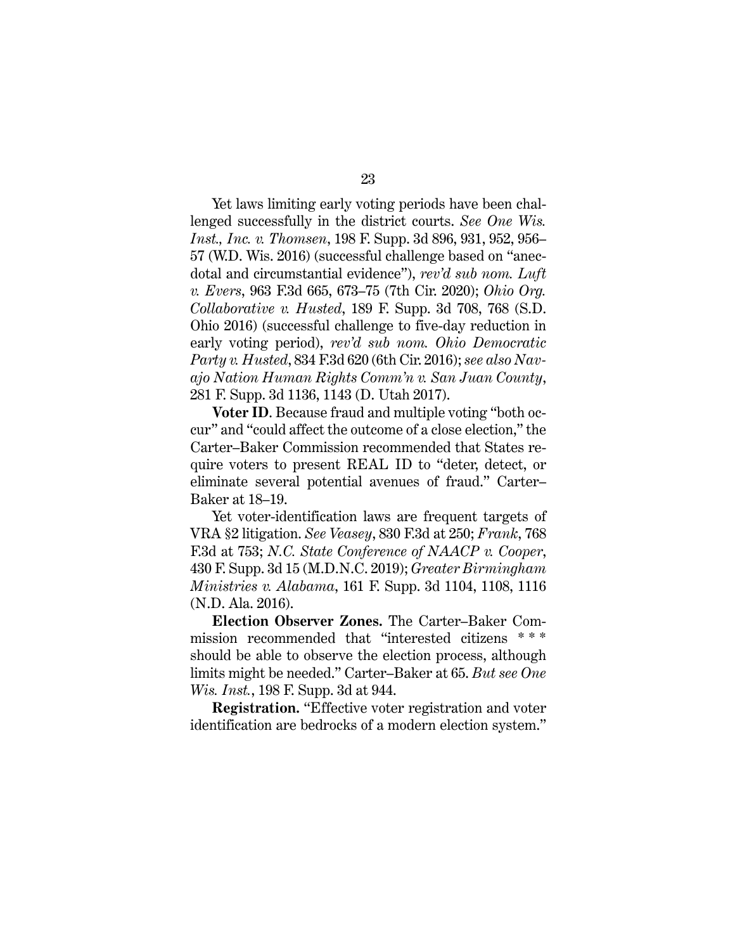Yet laws limiting early voting periods have been challenged successfully in the district courts. *See One Wis. Inst., Inc. v. Thomsen*, 198 F. Supp. 3d 896, 931, 952, 956– 57 (W.D. Wis. 2016) (successful challenge based on "anecdotal and circumstantial evidence"), *rev'd sub nom. Luft v. Evers*, 963 F.3d 665, 673–75 (7th Cir. 2020); *Ohio Org. Collaborative v. Husted*, 189 F. Supp. 3d 708, 768 (S.D. Ohio 2016) (successful challenge to five-day reduction in early voting period), *rev'd sub nom. Ohio Democratic Party v. Husted*, 834 F.3d 620 (6th Cir. 2016); *see also Navajo Nation Human Rights Comm'n v. San Juan County*, 281 F. Supp. 3d 1136, 1143 (D. Utah 2017).

**Voter ID**. Because fraud and multiple voting "both occur" and "could affect the outcome of a close election," the Carter–Baker Commission recommended that States require voters to present REAL ID to "deter, detect, or eliminate several potential avenues of fraud." Carter– Baker at 18–19.

Yet voter-identification laws are frequent targets of VRA §2 litigation. *See Veasey*, 830 F.3d at 250; *Frank*, 768 F.3d at 753; *N.C. State Conference of NAACP v. Cooper*, 430 F. Supp. 3d 15 (M.D.N.C. 2019); *Greater Birmingham Ministries v. Alabama*, 161 F. Supp. 3d 1104, 1108, 1116 (N.D. Ala. 2016).

**Election Observer Zones.** The Carter–Baker Commission recommended that "interested citizens \* \* \* should be able to observe the election process, although limits might be needed." Carter–Baker at 65. *But see One Wis. Inst.*, 198 F. Supp. 3d at 944.

**Registration.** "Effective voter registration and voter identification are bedrocks of a modern election system."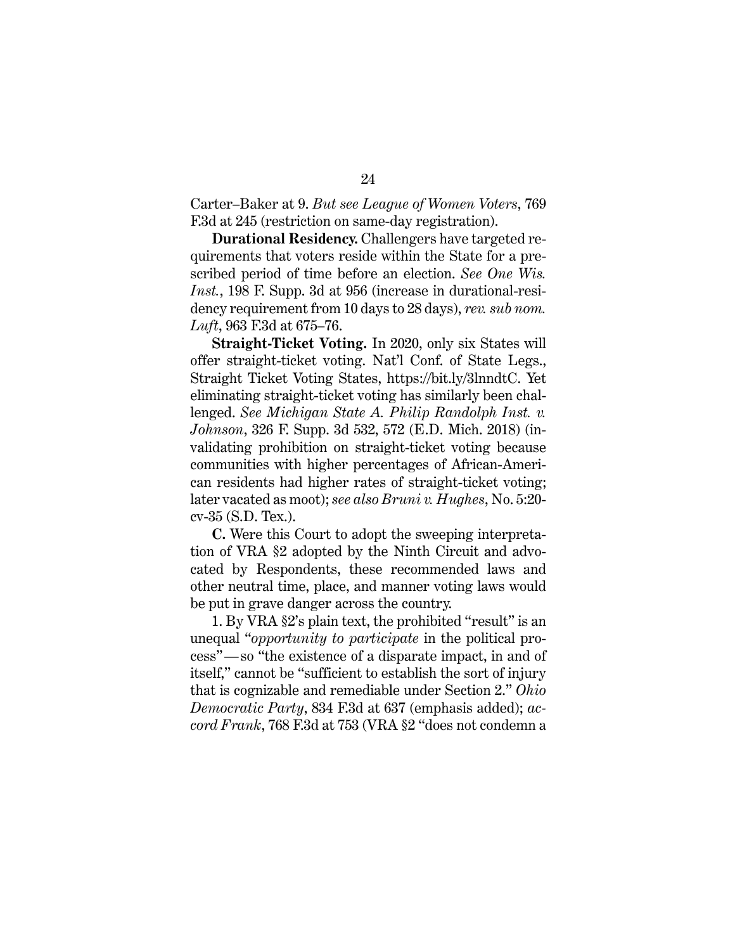Carter–Baker at 9. *But see League of Women Voters*, 769 F.3d at 245 (restriction on same-day registration).

**Durational Residency.** Challengers have targeted requirements that voters reside within the State for a prescribed period of time before an election. *See One Wis. Inst.*, 198 F. Supp. 3d at 956 (increase in durational-residency requirement from 10 days to 28 days), *rev. sub nom. Luft*, 963 F.3d at 675–76.

**Straight-Ticket Voting.** In 2020, only six States will offer straight-ticket voting. Nat'l Conf. of State Legs., Straight Ticket Voting States, https://bit.ly/3lnndtC. Yet eliminating straight-ticket voting has similarly been challenged. *See Michigan State A. Philip Randolph Inst. v. Johnson*, 326 F. Supp. 3d 532, 572 (E.D. Mich. 2018) (invalidating prohibition on straight-ticket voting because communities with higher percentages of African-American residents had higher rates of straight-ticket voting; later vacated as moot); *see also Bruni v. Hughes*, No. 5:20 cv-35 (S.D. Tex.).

**C.** Were this Court to adopt the sweeping interpretation of VRA §2 adopted by the Ninth Circuit and advocated by Respondents, these recommended laws and other neutral time, place, and manner voting laws would be put in grave danger across the country.

1. By VRA §2's plain text, the prohibited "result" is an unequal "*opportunity to participate* in the political process"—so "the existence of a disparate impact, in and of itself," cannot be "sufficient to establish the sort of injury that is cognizable and remediable under Section 2." *Ohio Democratic Party*, 834 F.3d at 637 (emphasis added); *accord Frank*, 768 F.3d at 753 (VRA §2 "does not condemn a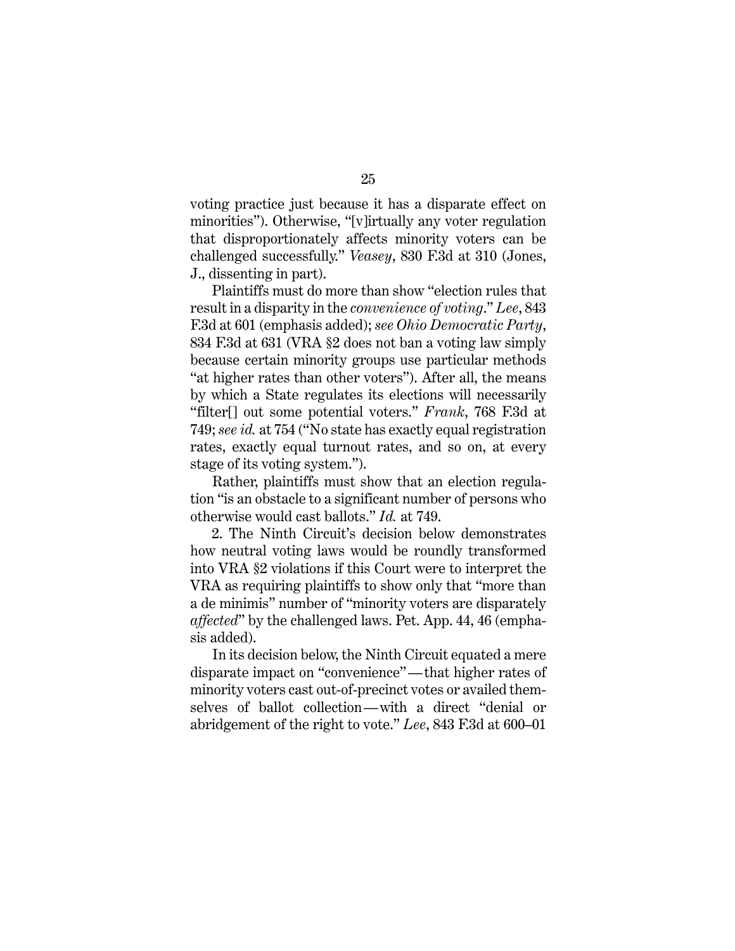voting practice just because it has a disparate effect on minorities"). Otherwise, "[v]irtually any voter regulation that disproportionately affects minority voters can be challenged successfully." *Veasey*, 830 F.3d at 310 (Jones, J., dissenting in part).

Plaintiffs must do more than show "election rules that result in a disparity in the *convenience of voting*." *Lee*, 843 F.3d at 601 (emphasis added); *see Ohio Democratic Party*, 834 F.3d at 631 (VRA §2 does not ban a voting law simply because certain minority groups use particular methods "at higher rates than other voters"). After all, the means by which a State regulates its elections will necessarily "filter[] out some potential voters." *Frank*, 768 F.3d at 749; *see id.* at 754 ("No state has exactly equal registration rates, exactly equal turnout rates, and so on, at every stage of its voting system.").

Rather, plaintiffs must show that an election regulation "is an obstacle to a significant number of persons who otherwise would cast ballots." *Id.* at 749.

2. The Ninth Circuit's decision below demonstrates how neutral voting laws would be roundly transformed into VRA §2 violations if this Court were to interpret the VRA as requiring plaintiffs to show only that "more than a de minimis" number of "minority voters are disparately *affected*" by the challenged laws. Pet. App. 44, 46 (emphasis added).

In its decision below, the Ninth Circuit equated a mere disparate impact on "convenience"—that higher rates of minority voters cast out-of-precinct votes or availed themselves of ballot collection—with a direct "denial or abridgement of the right to vote." *Lee*, 843 F.3d at 600–01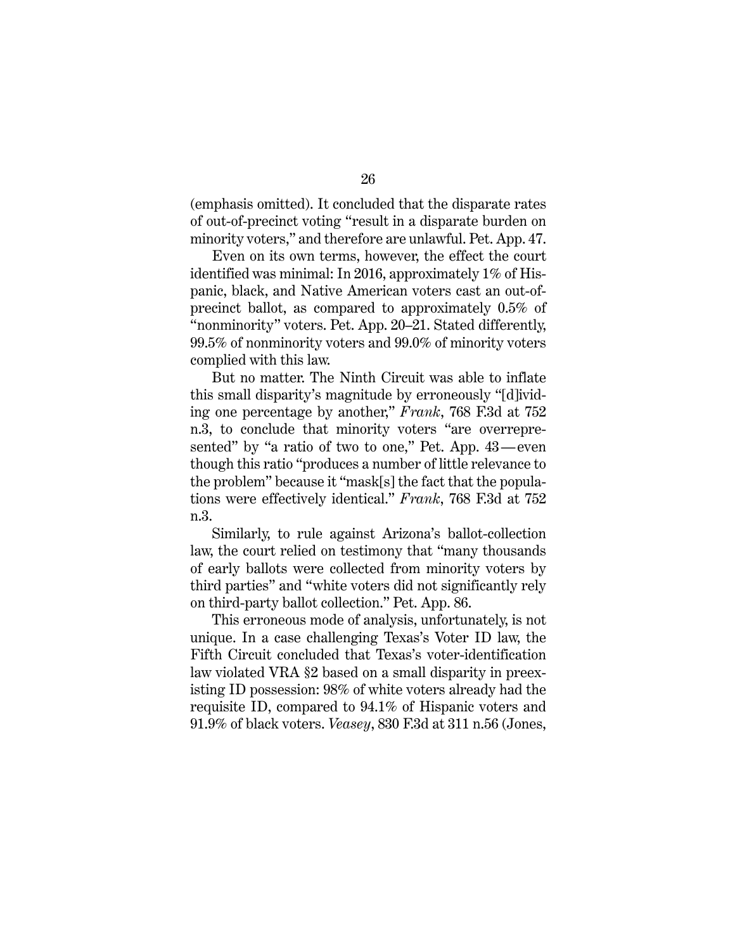(emphasis omitted). It concluded that the disparate rates of out-of-precinct voting "result in a disparate burden on minority voters," and therefore are unlawful. Pet. App. 47.

Even on its own terms, however, the effect the court identified was minimal: In 2016, approximately 1% of Hispanic, black, and Native American voters cast an out-ofprecinct ballot, as compared to approximately 0.5% of "nonminority" voters. Pet. App. 20–21. Stated differently, 99.5% of nonminority voters and 99.0% of minority voters complied with this law.

But no matter. The Ninth Circuit was able to inflate this small disparity's magnitude by erroneously "[d]ividing one percentage by another," *Frank*, 768 F.3d at 752 n.3, to conclude that minority voters "are overrepresented" by "a ratio of two to one," Pet. App. 43—even though this ratio "produces a number of little relevance to the problem" because it "mask[s] the fact that the populations were effectively identical." *Frank*, 768 F.3d at 752 n.3.

Similarly, to rule against Arizona's ballot-collection law, the court relied on testimony that "many thousands of early ballots were collected from minority voters by third parties" and "white voters did not significantly rely on third-party ballot collection." Pet. App. 86.

This erroneous mode of analysis, unfortunately, is not unique. In a case challenging Texas's Voter ID law, the Fifth Circuit concluded that Texas's voter-identification law violated VRA §2 based on a small disparity in preexisting ID possession: 98% of white voters already had the requisite ID, compared to 94.1% of Hispanic voters and 91.9% of black voters. *Veasey*, 830 F.3d at 311 n.56 (Jones,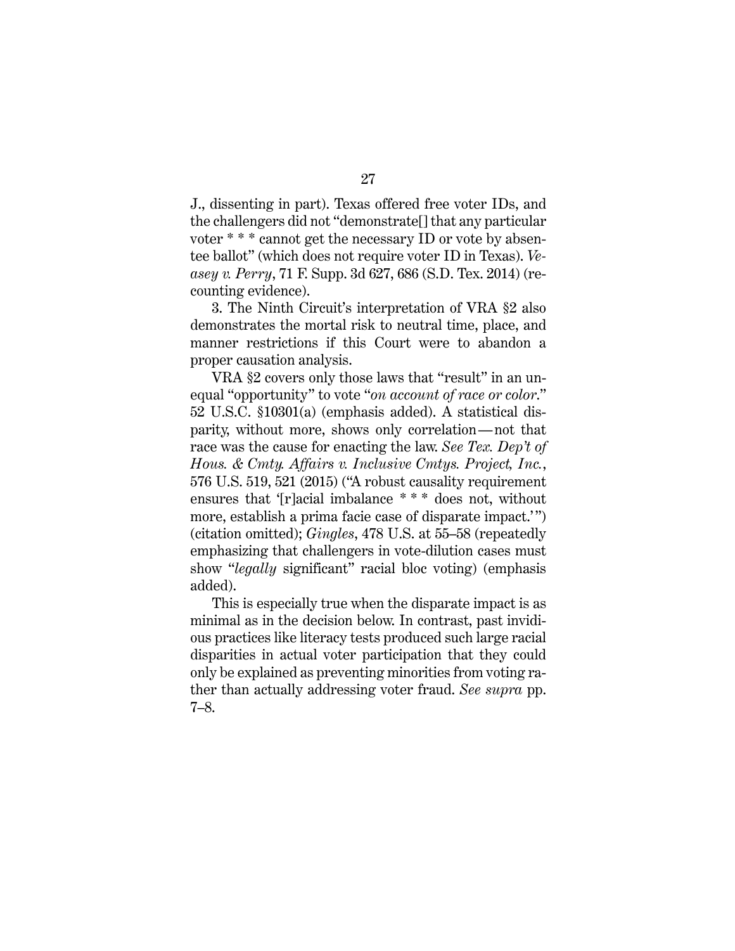J., dissenting in part). Texas offered free voter IDs, and the challengers did not "demonstrate[] that any particular voter \* \* \* cannot get the necessary ID or vote by absentee ballot" (which does not require voter ID in Texas). *Veasey v. Perry*, 71 F. Supp. 3d 627, 686 (S.D. Tex. 2014) (recounting evidence).

3. The Ninth Circuit's interpretation of VRA §2 also demonstrates the mortal risk to neutral time, place, and manner restrictions if this Court were to abandon a proper causation analysis.

VRA §2 covers only those laws that "result" in an unequal "opportunity" to vote "*on account of race or color*." 52 U.S.C. §10301(a) (emphasis added). A statistical disparity, without more, shows only correlation—not that race was the cause for enacting the law. *See Tex. Dep't of Hous. & Cmty. Affairs v. Inclusive Cmtys. Project, Inc.*, 576 U.S. 519, 521 (2015) ("A robust causality requirement ensures that '[r]acial imbalance \* \* \* does not, without more, establish a prima facie case of disparate impact.'") (citation omitted); *Gingles*, 478 U.S. at 55–58 (repeatedly emphasizing that challengers in vote-dilution cases must show "*legally* significant" racial bloc voting) (emphasis added).

This is especially true when the disparate impact is as minimal as in the decision below. In contrast, past invidious practices like literacy tests produced such large racial disparities in actual voter participation that they could only be explained as preventing minorities from voting rather than actually addressing voter fraud. *See supra* pp. 7–8.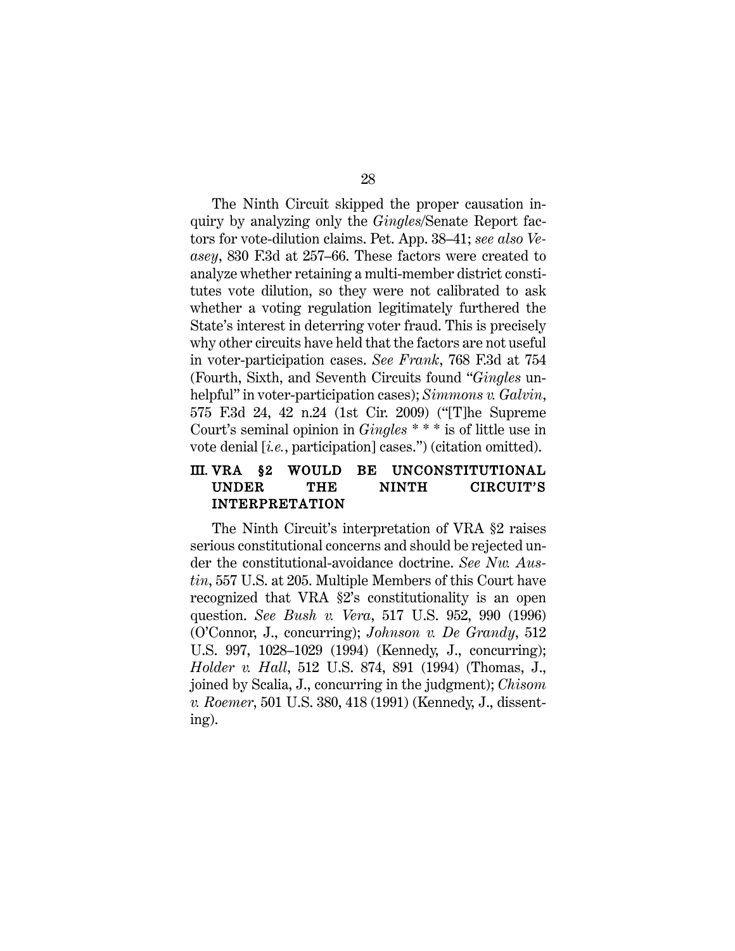The Ninth Circuit skipped the proper causation inquiry by analyzing only the *Gingles*/Senate Report factors for vote-dilution claims. Pet. App. 38–41; *see also Veasey*, 830 F.3d at 257–66. These factors were created to analyze whether retaining a multi-member district constitutes vote dilution, so they were not calibrated to ask whether a voting regulation legitimately furthered the State's interest in deterring voter fraud. This is precisely why other circuits have held that the factors are not useful in voter-participation cases. *See Frank*, 768 F.3d at 754 (Fourth, Sixth, and Seventh Circuits found "*Gingles* unhelpful" in voter-participation cases); *Simmons v. Galvin*, 575 F.3d 24, 42 n.24 (1st Cir. 2009) ("[T]he Supreme Court's seminal opinion in *Gingles* \* \* \* is of little use in vote denial [*i.e.*, participation] cases.") (citation omitted).

### III. VRA §2 WOULD BE UNCONSTITUTIONAL UNDER THE NINTH CIRCUIT'S INTERPRETATION

The Ninth Circuit's interpretation of VRA §2 raises serious constitutional concerns and should be rejected under the constitutional-avoidance doctrine. *See Nw. Austin*, 557 U.S. at 205. Multiple Members of this Court have recognized that VRA §2's constitutionality is an open question. *See Bush v. Vera*, 517 U.S. 952, 990 (1996) (O'Connor, J., concurring); *Johnson v. De Grandy*, 512 U.S. 997, 1028–1029 (1994) (Kennedy, J., concurring); *Holder v. Hall*, 512 U.S. 874, 891 (1994) (Thomas, J., joined by Scalia, J., concurring in the judgment); *Chisom v. Roemer*, 501 U.S. 380, 418 (1991) (Kennedy, J., dissenting).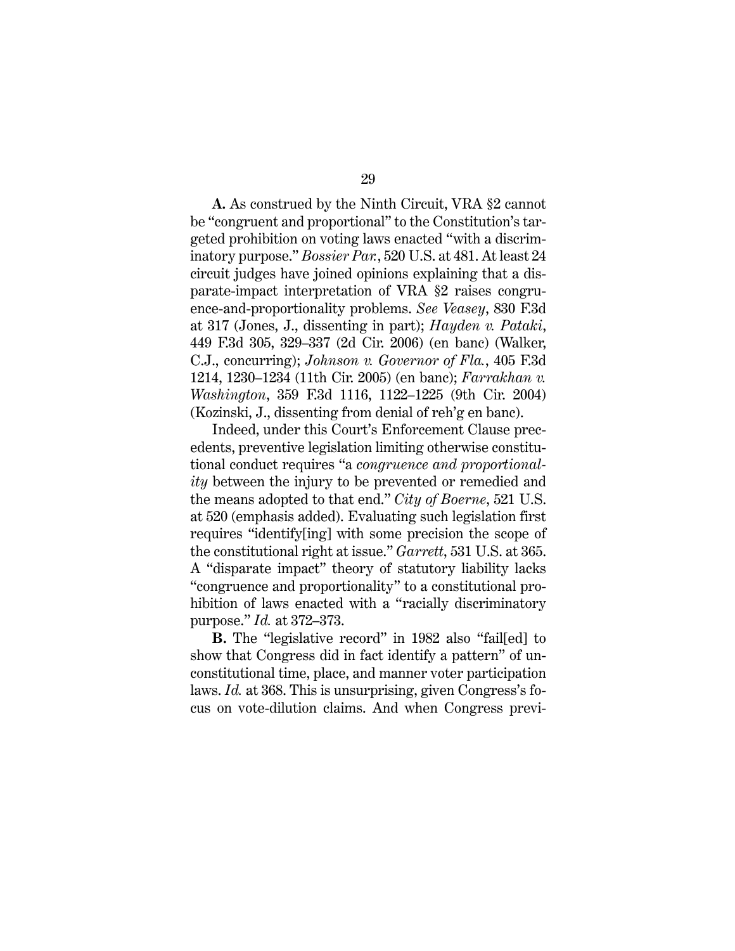**A.** As construed by the Ninth Circuit, VRA §2 cannot be "congruent and proportional" to the Constitution's targeted prohibition on voting laws enacted "with a discriminatory purpose." *Bossier Par.*, 520 U.S. at 481. At least 24 circuit judges have joined opinions explaining that a disparate-impact interpretation of VRA §2 raises congruence-and-proportionality problems. *See Veasey*, 830 F.3d at 317 (Jones, J., dissenting in part); *Hayden v. Pataki*, 449 F.3d 305, 329–337 (2d Cir. 2006) (en banc) (Walker, C.J., concurring); *Johnson v. Governor of Fla.*, 405 F.3d 1214, 1230–1234 (11th Cir. 2005) (en banc); *Farrakhan v. Washington*, 359 F.3d 1116, 1122–1225 (9th Cir. 2004) (Kozinski, J., dissenting from denial of reh'g en banc).

Indeed, under this Court's Enforcement Clause precedents, preventive legislation limiting otherwise constitutional conduct requires "a *congruence and proportionality* between the injury to be prevented or remedied and the means adopted to that end." *City of Boerne*, 521 U.S. at 520 (emphasis added). Evaluating such legislation first requires "identify[ing] with some precision the scope of the constitutional right at issue." *Garrett*, 531 U.S. at 365. A "disparate impact" theory of statutory liability lacks "congruence and proportionality" to a constitutional prohibition of laws enacted with a "racially discriminatory purpose." *Id.* at 372–373.

**B.** The "legislative record" in 1982 also "fail[ed] to show that Congress did in fact identify a pattern" of unconstitutional time, place, and manner voter participation laws. *Id.* at 368. This is unsurprising, given Congress's focus on vote-dilution claims. And when Congress previ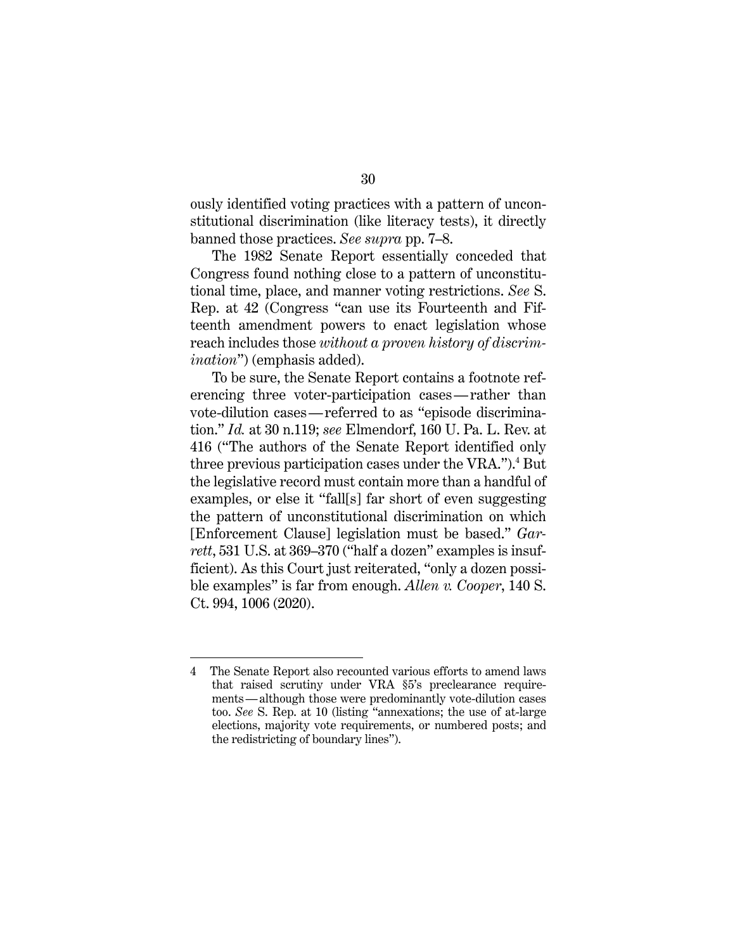ously identified voting practices with a pattern of unconstitutional discrimination (like literacy tests), it directly banned those practices. *See supra* pp. 7–8.

The 1982 Senate Report essentially conceded that Congress found nothing close to a pattern of unconstitutional time, place, and manner voting restrictions. *See* S. Rep. at 42 (Congress "can use its Fourteenth and Fifteenth amendment powers to enact legislation whose reach includes those *without a proven history of discrimination*") (emphasis added).

To be sure, the Senate Report contains a footnote referencing three voter-participation cases—rather than vote-dilution cases—referred to as "episode discrimination." *Id.* at 30 n.119; *see* Elmendorf, 160 U. Pa. L. Rev. at 416 ("The authors of the Senate Report identified only three previous participation cases under the VRA.").<sup>4</sup> But the legislative record must contain more than a handful of examples, or else it "fall[s] far short of even suggesting the pattern of unconstitutional discrimination on which [Enforcement Clause] legislation must be based." *Garrett*, 531 U.S. at 369–370 ("half a dozen" examples is insufficient). As this Court just reiterated, "only a dozen possible examples" is far from enough. *Allen v. Cooper*, 140 S. Ct. 994, 1006 (2020).

<sup>4</sup> The Senate Report also recounted various efforts to amend laws that raised scrutiny under VRA §5's preclearance requirements—although those were predominantly vote-dilution cases too. *See* S. Rep. at 10 (listing "annexations; the use of at-large elections, majority vote requirements, or numbered posts; and the redistricting of boundary lines").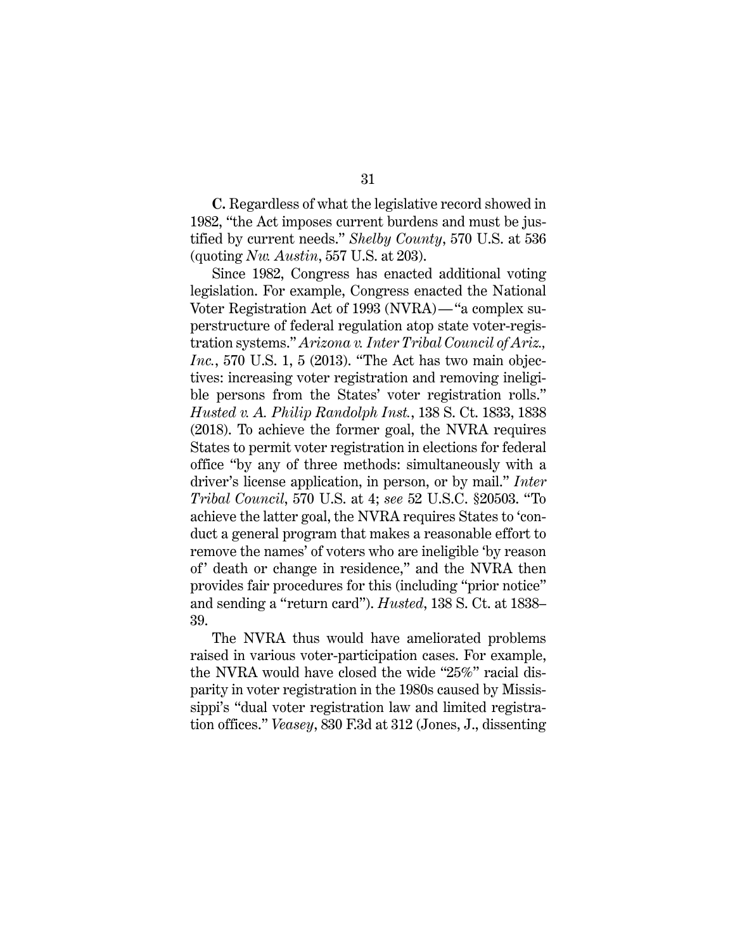**C.** Regardless of what the legislative record showed in 1982, "the Act imposes current burdens and must be justified by current needs." *Shelby County*, 570 U.S. at 536 (quoting *Nw. Austin*, 557 U.S. at 203).

Since 1982, Congress has enacted additional voting legislation. For example, Congress enacted the National Voter Registration Act of 1993 (NVRA)—"a complex superstructure of federal regulation atop state voter-registration systems." *Arizona v. Inter Tribal Council of Ariz., Inc.*, 570 U.S. 1, 5 (2013). "The Act has two main objectives: increasing voter registration and removing ineligible persons from the States' voter registration rolls." *Husted v. A. Philip Randolph Inst.*, 138 S. Ct. 1833, 1838 (2018). To achieve the former goal, the NVRA requires States to permit voter registration in elections for federal office "by any of three methods: simultaneously with a driver's license application, in person, or by mail." *Inter Tribal Council*, 570 U.S. at 4; *see* 52 U.S.C. §20503. "To achieve the latter goal, the NVRA requires States to 'conduct a general program that makes a reasonable effort to remove the names' of voters who are ineligible 'by reason of' death or change in residence," and the NVRA then provides fair procedures for this (including "prior notice" and sending a "return card"). *Husted*, 138 S. Ct. at 1838– 39.

The NVRA thus would have ameliorated problems raised in various voter-participation cases. For example, the NVRA would have closed the wide "25%" racial disparity in voter registration in the 1980s caused by Mississippi's "dual voter registration law and limited registration offices." *Veasey*, 830 F.3d at 312 (Jones, J., dissenting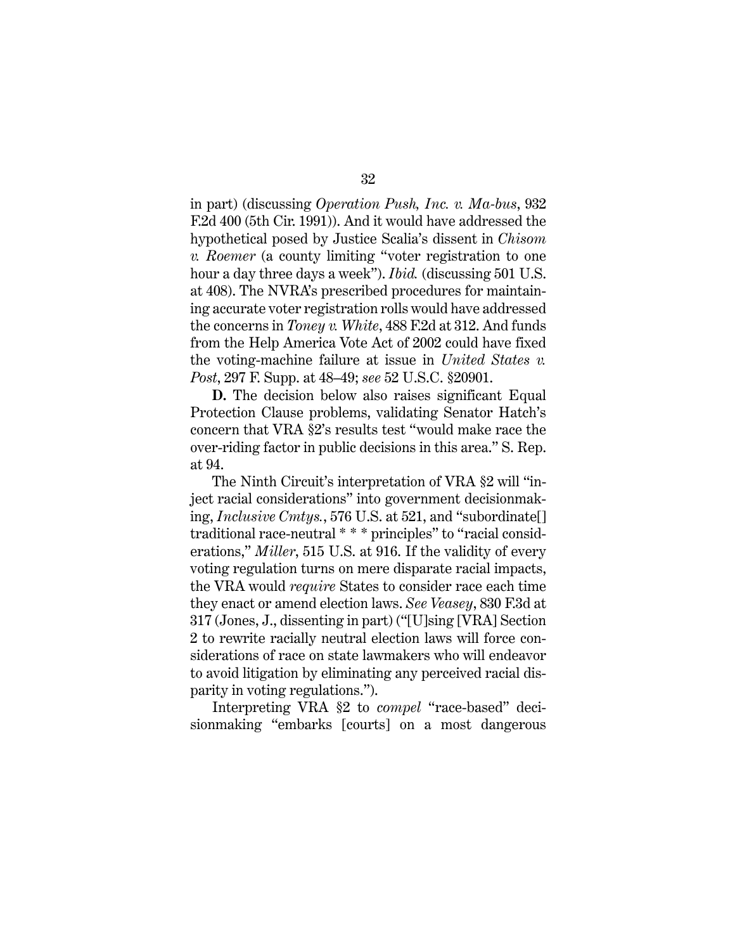in part) (discussing *Operation Push, Inc. v. Ma-bus*, 932 F.2d 400 (5th Cir. 1991)). And it would have addressed the hypothetical posed by Justice Scalia's dissent in *Chisom v. Roemer* (a county limiting "voter registration to one hour a day three days a week"). *Ibid.* (discussing 501 U.S. at 408). The NVRA's prescribed procedures for maintaining accurate voter registration rolls would have addressed the concerns in *Toney v. White*, 488 F.2d at 312. And funds from the Help America Vote Act of 2002 could have fixed the voting-machine failure at issue in *United States v. Post*, 297 F. Supp. at 48–49; *see* 52 U.S.C. §20901.

**D.** The decision below also raises significant Equal Protection Clause problems, validating Senator Hatch's concern that VRA §2's results test "would make race the over-riding factor in public decisions in this area." S. Rep. at 94.

The Ninth Circuit's interpretation of VRA §2 will "inject racial considerations" into government decisionmaking, *Inclusive Cmtys.*, 576 U.S. at 521, and "subordinate[] traditional race-neutral \* \* \* principles" to "racial considerations," *Miller*, 515 U.S. at 916. If the validity of every voting regulation turns on mere disparate racial impacts, the VRA would *require* States to consider race each time they enact or amend election laws. *See Veasey*, 830 F.3d at 317 (Jones, J., dissenting in part) ("[U]sing [VRA] Section 2 to rewrite racially neutral election laws will force considerations of race on state lawmakers who will endeavor to avoid litigation by eliminating any perceived racial disparity in voting regulations.").

Interpreting VRA §2 to *compel* "race-based" decisionmaking "embarks [courts] on a most dangerous